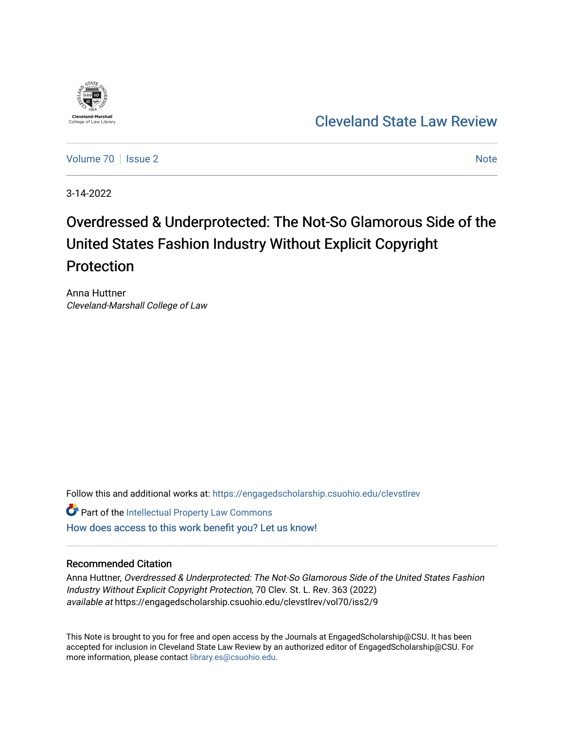

[Cleveland State Law Review](https://engagedscholarship.csuohio.edu/clevstlrev) 

[Volume 70](https://engagedscholarship.csuohio.edu/clevstlrev/vol70) | [Issue 2](https://engagedscholarship.csuohio.edu/clevstlrev/vol70/iss2) [Note](https://engagedscholarship.csuohio.edu/clevstlrev/vol70/iss2/9) 2 Note 2 Note 2 Note 2 Note 2 Note 2 Note 2 Note 2 Note 2 Note 2 Note 2 Note 2 Note 2 Note 2 Note 2 Note 2 Note 2 Note 2 Note 2 Note 2 Note 2 Note 2 Note 2 Note 2 Note 2 Note 2 Note 2 Note 2 Note 2

3-14-2022

# Overdressed & Underprotected: The Not-So Glamorous Side of the United States Fashion Industry Without Explicit Copyright Protection

Anna Huttner Cleveland-Marshall College of Law

Follow this and additional works at: [https://engagedscholarship.csuohio.edu/clevstlrev](https://engagedscholarship.csuohio.edu/clevstlrev?utm_source=engagedscholarship.csuohio.edu%2Fclevstlrev%2Fvol70%2Fiss2%2F9&utm_medium=PDF&utm_campaign=PDFCoverPages)

**C** Part of the Intellectual Property Law Commons

[How does access to this work benefit you? Let us know!](http://library.csuohio.edu/engaged/)

### Recommended Citation

Anna Huttner, Overdressed & Underprotected: The Not-So Glamorous Side of the United States Fashion Industry Without Explicit Copyright Protection, 70 Clev. St. L. Rev. 363 (2022) available at https://engagedscholarship.csuohio.edu/clevstlrev/vol70/iss2/9

This Note is brought to you for free and open access by the Journals at EngagedScholarship@CSU. It has been accepted for inclusion in Cleveland State Law Review by an authorized editor of EngagedScholarship@CSU. For more information, please contact [library.es@csuohio.edu](mailto:library.es@csuohio.edu).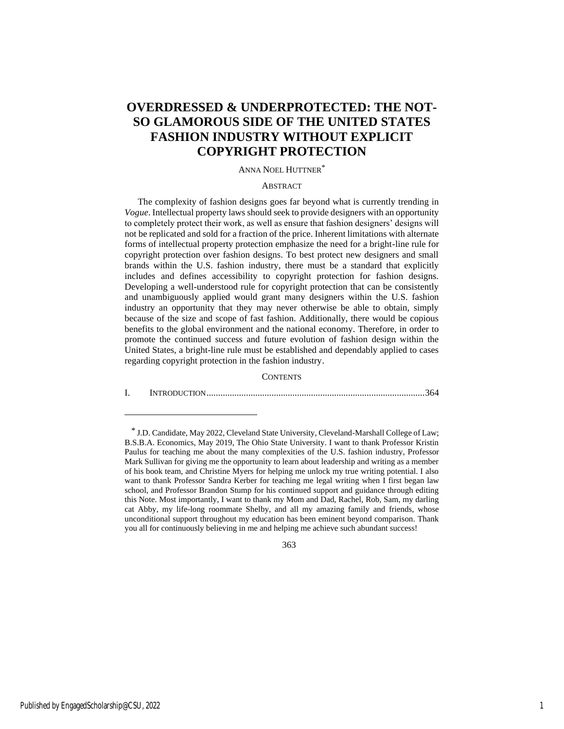## **OVERDRESSED & UNDERPROTECTED: THE NOT-SO GLAMOROUS SIDE OF THE UNITED STATES FASHION INDUSTRY WITHOUT EXPLICIT COPYRIGHT PROTECTION**

#### ANNA NOEL HUTTNER\*

#### **ABSTRACT**

The complexity of fashion designs goes far beyond what is currently trending in *Vogue*. Intellectual property laws should seek to provide designers with an opportunity to completely protect their work, as well as ensure that fashion designers' designs will not be replicated and sold for a fraction of the price. Inherent limitations with alternate forms of intellectual property protection emphasize the need for a bright-line rule for copyright protection over fashion designs. To best protect new designers and small brands within the U.S. fashion industry, there must be a standard that explicitly includes and defines accessibility to copyright protection for fashion designs. Developing a well-understood rule for copyright protection that can be consistently and unambiguously applied would grant many designers within the U.S. fashion industry an opportunity that they may never otherwise be able to obtain, simply because of the size and scope of fast fashion. Additionally, there would be copious benefits to the global environment and the national economy. Therefore, in order to promote the continued success and future evolution of fashion design within the United States, a bright-line rule must be established and dependably applied to cases regarding copyright protection in the fashion industry.

#### **CONTENTS**

I. INTRODUCTION..............................................................................................364

363

<sup>\*</sup> J.D. Candidate, May 2022, Cleveland State University, Cleveland-Marshall College of Law; B.S.B.A. Economics, May 2019, The Ohio State University. I want to thank Professor Kristin Paulus for teaching me about the many complexities of the U.S. fashion industry, Professor Mark Sullivan for giving me the opportunity to learn about leadership and writing as a member of his book team, and Christine Myers for helping me unlock my true writing potential. I also want to thank Professor Sandra Kerber for teaching me legal writing when I first began law school, and Professor Brandon Stump for his continued support and guidance through editing this Note. Most importantly, I want to thank my Mom and Dad, Rachel, Rob, Sam, my darling cat Abby, my life-long roommate Shelby, and all my amazing family and friends, whose unconditional support throughout my education has been eminent beyond comparison. Thank you all for continuously believing in me and helping me achieve such abundant success!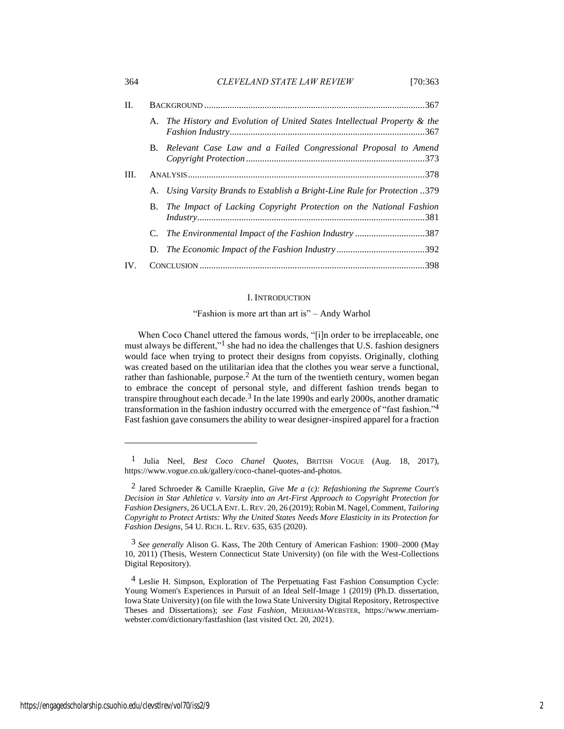| 364 | CLEVELAND STATE LAW REVIEW | [70:363] |
|-----|----------------------------|----------|
|     |                            |          |

| П.   |           |                                                                                   |  |
|------|-----------|-----------------------------------------------------------------------------------|--|
|      |           | A. The History and Evolution of United States Intellectual Property & the<br>.367 |  |
|      | B.        | Relevant Case Law and a Failed Congressional Proposal to Amend                    |  |
| III. |           |                                                                                   |  |
|      |           | A. Using Varsity Brands to Establish a Bright-Line Rule for Protection 379        |  |
|      | <b>B.</b> | The Impact of Lacking Copyright Protection on the National Fashion<br>.381        |  |
|      |           | C. The Environmental Impact of the Fashion Industry387                            |  |
|      |           |                                                                                   |  |
| IV.  |           |                                                                                   |  |

#### <span id="page-2-0"></span>I. INTRODUCTION

#### <span id="page-2-1"></span>"Fashion is more art than art is" – Andy Warhol

When Coco Chanel uttered the famous words, "[i]n order to be irreplaceable, one must always be different,"<sup>1</sup> she had no idea the challenges that U.S. fashion designers would face when trying to protect their designs from copyists. Originally, clothing was created based on the utilitarian idea that the clothes you wear serve a functional, rather than fashionable, purpose.<sup>2</sup> At the turn of the twentieth century, women began to embrace the concept of personal style, and different fashion trends began to transpire throughout each decade.<sup>3</sup> In the late 1990s and early 2000s, another dramatic transformation in the fashion industry occurred with the emergence of "fast fashion."4 Fast fashion gave consumers the ability to wear designer-inspired apparel for a fraction

<sup>1</sup> Julia Neel, *Best Coco Chanel Quotes*, BRITISH VOGUE (Aug. 18, 2017), https://www.vogue.co.uk/gallery/coco-chanel-quotes-and-photos.

<sup>2</sup> Jared Schroeder & Camille Kraeplin, *Give Me a (c): Refashioning the Supreme Court's Decision in Star Athletica v. Varsity into an Art-First Approach to Copyright Protection for Fashion Designers*, 26 UCLA ENT.L.REV. 20, 26 (2019); Robin M. Nagel, Comment, *Tailoring Copyright to Protect Artists: Why the United States Needs More Elasticity in its Protection for Fashion Designs*, 54 U. RICH. L. REV. 635, 635 (2020).

<sup>3</sup> *See generally* Alison G. Kass, The 20th Century of American Fashion: 1900–2000 (May 10, 2011) (Thesis, Western Connecticut State University) (on file with the West-Collections Digital Repository).

<sup>&</sup>lt;sup>4</sup> Leslie H. Simpson, Exploration of The Perpetuating Fast Fashion Consumption Cycle: Young Women's Experiences in Pursuit of an Ideal Self-Image 1 (2019) (Ph.D. dissertation, Iowa State University) (on file with the Iowa State University Digital Repository, Retrospective Theses and Dissertations); *see Fast Fashion*, MERRIAM-WEBSTER, https://www.merriamwebster.com/dictionary/fastfashion (last visited Oct. 20, 2021).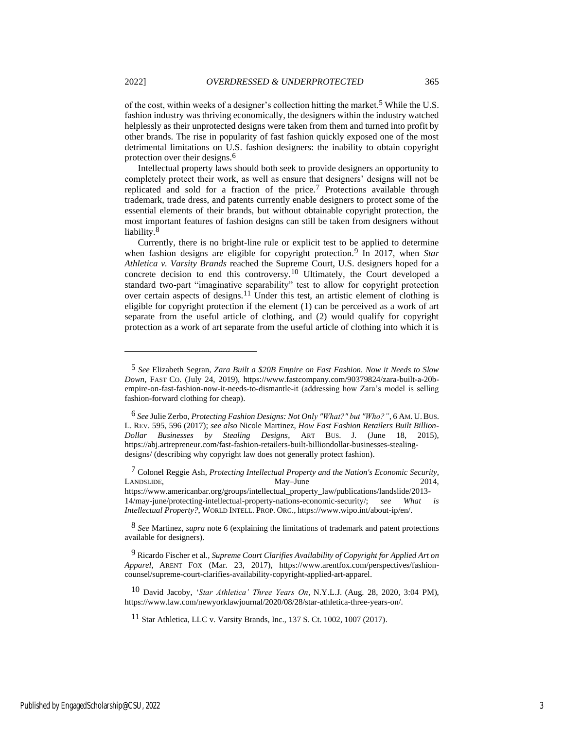of the cost, within weeks of a designer's collection hitting the market.<sup>5</sup> While the U.S. fashion industry was thriving economically, the designers within the industry watched helplessly as their unprotected designs were taken from them and turned into profit by other brands. The rise in popularity of fast fashion quickly exposed one of the most detrimental limitations on U.S. fashion designers: the inability to obtain copyright protection over their designs.6

<span id="page-3-0"></span>Intellectual property laws should both seek to provide designers an opportunity to completely protect their work, as well as ensure that designers' designs will not be replicated and sold for a fraction of the price.7 Protections available through trademark, trade dress, and patents currently enable designers to protect some of the essential elements of their brands, but without obtainable copyright protection, the most important features of fashion designs can still be taken from designers without liability.<sup>8</sup>

<span id="page-3-1"></span>Currently, there is no bright-line rule or explicit test to be applied to determine when fashion designs are eligible for copyright protection.<sup>9</sup> In 2017, when *Star Athletica v. Varsity Brands* reached the Supreme Court, U.S. designers hoped for a concrete decision to end this controversy.10 Ultimately, the Court developed a standard two-part "imaginative separability" test to allow for copyright protection over certain aspects of designs.11 Under this test, an artistic element of clothing is eligible for copyright protection if the element (1) can be perceived as a work of art separate from the useful article of clothing, and (2) would qualify for copyright protection as a work of art separate from the useful article of clothing into which it is

7 Colonel Reggie Ash, *Protecting Intellectual Property and the Nation's Economic Security*, LANDSLIDE, May–June 2014, https://www.americanbar.org/groups/intellectual\_property\_law/publications/landslide/2013- 14/may-june/protecting-intellectual-property-nations-economic-security/; *see What is Intellectual Property?*, WORLD INTELL. PROP. ORG., https://www.wipo.int/about-ip/en/.

8 *See* Martinez, *supra* not[e 6](#page-3-0) (explaining the limitations of trademark and patent protections available for designers).

9 Ricardo Fischer et al., *Supreme Court Clarifies Availability of Copyright for Applied Art on Apparel*, ARENT FOX (Mar. 23, 2017), https://www.arentfox.com/perspectives/fashioncounsel/supreme-court-clarifies-availability-copyright-applied-art-apparel.

10 David Jacoby, '*Star Athletica' Three Years On*, N.Y.L.J. (Aug. 28, 2020, 3:04 PM), https://www.law.com/newyorklawjournal/2020/08/28/star-athletica-three-years-on/.

11 Star Athletica, LLC v. Varsity Brands, Inc., 137 S. Ct. 1002, 1007 (2017).

<sup>5</sup> *See* Elizabeth Segran, *Zara Built a \$20B Empire on Fast Fashion. Now it Needs to Slow Down*, FAST CO. (July 24, 2019), https://www.fastcompany.com/90379824/zara-built-a-20bempire-on-fast-fashion-now-it-needs-to-dismantle-it (addressing how Zara's model is selling fashion-forward clothing for cheap).

<sup>6</sup> *See* Julie Zerbo, *Protecting Fashion Designs: Not Only "What?" but "Who?"*, 6 AM. U.BUS. L. REV. 595, 596 (2017); *see also* Nicole Martinez, *How Fast Fashion Retailers Built Billion-Dollar Businesses by Stealing Designs*, ART BUS. J. (June 18, 2015), https://abj.artrepreneur.com/fast-fashion-retailers-built-billiondollar-businesses-stealingdesigns/ (describing why copyright law does not generally protect fashion).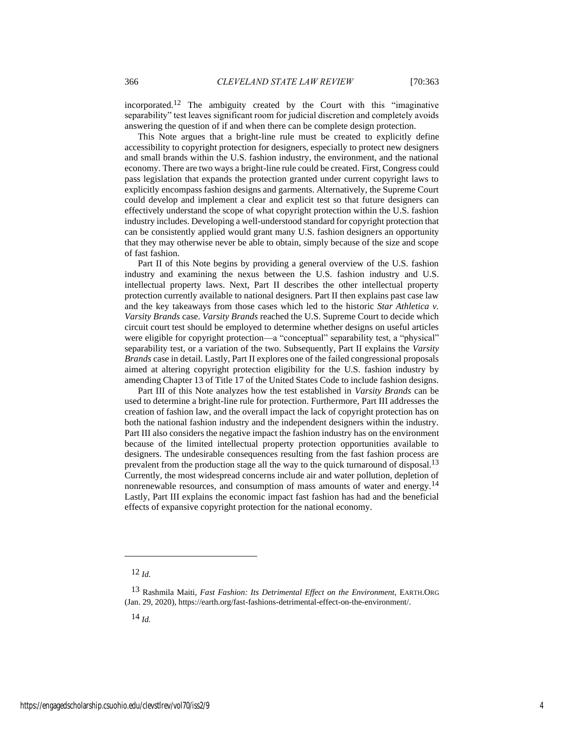incorporated.12 The ambiguity created by the Court with this "imaginative separability" test leaves significant room for judicial discretion and completely avoids answering the question of if and when there can be complete design protection.

This Note argues that a bright-line rule must be created to explicitly define accessibility to copyright protection for designers, especially to protect new designers and small brands within the U.S. fashion industry, the environment, and the national economy. There are two ways a bright-line rule could be created. First, Congress could pass legislation that expands the protection granted under current copyright laws to explicitly encompass fashion designs and garments. Alternatively, the Supreme Court could develop and implement a clear and explicit test so that future designers can effectively understand the scope of what copyright protection within the U.S. fashion industry includes. Developing a well-understood standard for copyright protection that can be consistently applied would grant many U.S. fashion designers an opportunity that they may otherwise never be able to obtain, simply because of the size and scope of fast fashion.

Part II of this Note begins by providing a general overview of the U.S. fashion industry and examining the nexus between the U.S. fashion industry and U.S. intellectual property laws. Next, Part II describes the other intellectual property protection currently available to national designers. Part II then explains past case law and the key takeaways from those cases which led to the historic *Star Athletica v. Varsity Brands* case. *Varsity Brands* reached the U.S. Supreme Court to decide which circuit court test should be employed to determine whether designs on useful articles were eligible for copyright protection—a "conceptual" separability test, a "physical" separability test, or a variation of the two. Subsequently, Part II explains the *Varsity Brands* case in detail. Lastly, Part II explores one of the failed congressional proposals aimed at altering copyright protection eligibility for the U.S. fashion industry by amending Chapter 13 of Title 17 of the United States Code to include fashion designs.

Part III of this Note analyzes how the test established in *Varsity Brands* can be used to determine a bright-line rule for protection. Furthermore, Part III addresses the creation of fashion law, and the overall impact the lack of copyright protection has on both the national fashion industry and the independent designers within the industry. Part III also considers the negative impact the fashion industry has on the environment because of the limited intellectual property protection opportunities available to designers. The undesirable consequences resulting from the fast fashion process are prevalent from the production stage all the way to the quick turnaround of disposal.<sup>13</sup> Currently, the most widespread concerns include air and water pollution, depletion of nonrenewable resources, and consumption of mass amounts of water and energy.<sup>14</sup> Lastly, Part III explains the economic impact fast fashion has had and the beneficial effects of expansive copyright protection for the national economy.

14 *Id.*

<sup>12</sup> *Id.*

<sup>13</sup> Rashmila Maiti, *Fast Fashion: Its Detrimental Effect on the Environment*, EARTH.ORG (Jan. 29, 2020), https://earth.org/fast-fashions-detrimental-effect-on-the-environment/.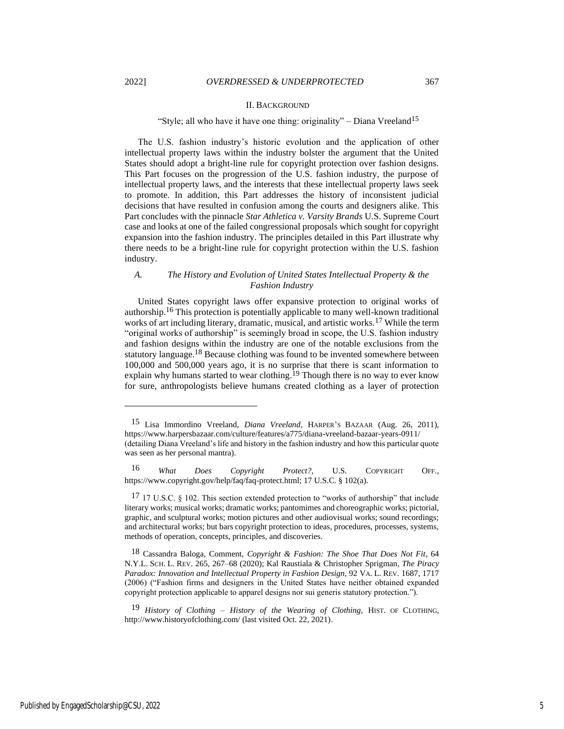#### II. BACKGROUND

#### "Style; all who have it have one thing: originality" – Diana Vreeland<sup>15</sup>

The U.S. fashion industry's historic evolution and the application of other intellectual property laws within the industry bolster the argument that the United States should adopt a bright-line rule for copyright protection over fashion designs. This Part focuses on the progression of the U.S. fashion industry, the purpose of intellectual property laws, and the interests that these intellectual property laws seek to promote. In addition, this Part addresses the history of inconsistent judicial decisions that have resulted in confusion among the courts and designers alike. This Part concludes with the pinnacle *Star Athletica v. Varsity Brands* U.S. Supreme Court case and looks at one of the failed congressional proposals which sought for copyright expansion into the fashion industry. The principles detailed in this Part illustrate why there needs to be a bright-line rule for copyright protection within the U.S. fashion industry.

#### *A. The History and Evolution of United States Intellectual Property & the Fashion Industry*

United States copyright laws offer expansive protection to original works of authorship.16 This protection is potentially applicable to many well-known traditional works of art including literary, dramatic, musical, and artistic works.<sup>17</sup> While the term "original works of authorship" is seemingly broad in scope, the U.S. fashion industry and fashion designs within the industry are one of the notable exclusions from the statutory language.18 Because clothing was found to be invented somewhere between 100,000 and 500,000 years ago, it is no surprise that there is scant information to explain why humans started to wear clothing.<sup>19</sup> Though there is no way to ever know for sure, anthropologists believe humans created clothing as a layer of protection

<sup>15</sup> Lisa Immordino Vreeland, *Diana Vreeland*, HARPER'S BAZAAR (Aug. 26, 2011), https://www.harpersbazaar.com/culture/features/a775/diana-vreeland-bazaar-years-0911/ (detailing Diana Vreeland's life and history in the fashion industry and how this particular quote was seen as her personal mantra).

<sup>16</sup> *What Does Copyright Protect?*, U.S. COPYRIGHT OFF., https://www.copyright.gov/help/faq/faq-protect.html; 17 U.S.C. § 102(a).

 $17$  17 U.S.C. § 102. This section extended protection to "works of authorship" that include literary works; musical works; dramatic works; pantomimes and choreographic works; pictorial, graphic, and sculptural works; motion pictures and other audiovisual works; sound recordings; and architectural works; but bars copyright protection to ideas, procedures, processes, systems, methods of operation, concepts, principles, and discoveries.

<sup>18</sup> Cassandra Baloga, Comment, *Copyright & Fashion: The Shoe That Does Not Fit*, 64 N.Y.L. SCH. L. REV. 265, 267–68 (2020); Kal Raustiala & Christopher Sprigman, *The Piracy Paradox: Innovation and Intellectual Property in Fashion Design*, 92 VA. L. REV. 1687, 1717 (2006) ("Fashion firms and designers in the United States have neither obtained expanded copyright protection applicable to apparel designs nor sui generis statutory protection.").

<sup>19</sup> *History of Clothing – History of the Wearing of Clothing*, HIST. OF CLOTHING, http://www.historyofclothing.com/ (last visited Oct. 22, 2021).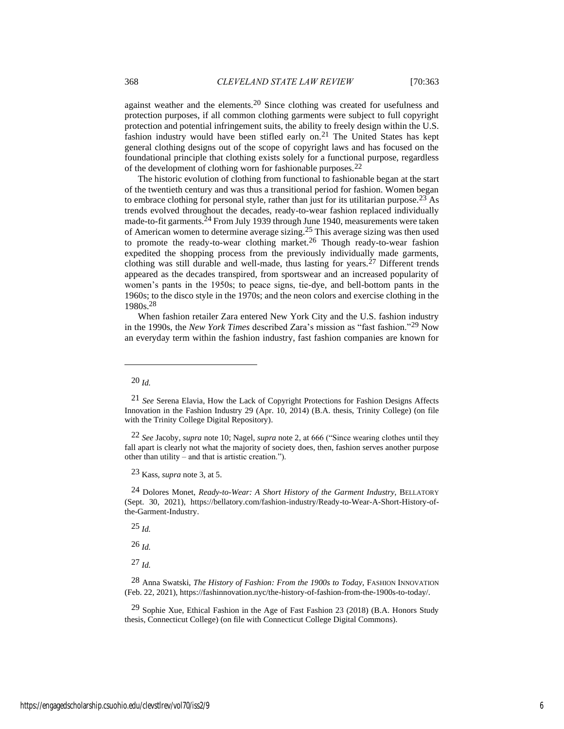against weather and the elements.20 Since clothing was created for usefulness and protection purposes, if all common clothing garments were subject to full copyright protection and potential infringement suits, the ability to freely design within the U.S. fashion industry would have been stifled early on.<sup>21</sup> The United States has kept general clothing designs out of the scope of copyright laws and has focused on the foundational principle that clothing exists solely for a functional purpose, regardless of the development of clothing worn for fashionable purposes.22

The historic evolution of clothing from functional to fashionable began at the start of the twentieth century and was thus a transitional period for fashion. Women began to embrace clothing for personal style, rather than just for its utilitarian purpose.<sup>23</sup> As trends evolved throughout the decades, ready-to-wear fashion replaced individually made-to-fit garments.<sup>24</sup> From July 1939 through June 1940, measurements were taken of American women to determine average sizing.25 This average sizing was then used to promote the ready-to-wear clothing market.<sup>26</sup> Though ready-to-wear fashion expedited the shopping process from the previously individually made garments, clothing was still durable and well-made, thus lasting for years.<sup>27</sup> Different trends appeared as the decades transpired, from sportswear and an increased popularity of women's pants in the 1950s; to peace signs, tie-dye, and bell-bottom pants in the 1960s; to the disco style in the 1970s; and the neon colors and exercise clothing in the 1980s.28

When fashion retailer Zara entered New York City and the U.S. fashion industry in the 1990s, the *New York Times* described Zara's mission as "fast fashion."29 Now an everyday term within the fashion industry, fast fashion companies are known for

24 Dolores Monet, *Ready-to-Wear: A Short History of the Garment Industry*, BELLATORY (Sept. 30, 2021), https://bellatory.com/fashion-industry/Ready-to-Wear-A-Short-History-ofthe-Garment-Industry.

25 *Id.*

26 *Id.*

27 *Id.*

<sup>20</sup> *Id.*

<sup>21</sup> *See* Serena Elavia, How the Lack of Copyright Protections for Fashion Designs Affects Innovation in the Fashion Industry 29 (Apr. 10, 2014) (B.A. thesis, Trinity College) (on file with the Trinity College Digital Repository).

<sup>22</sup> *See* Jacoby, *supra* not[e 10;](#page-3-1) Nagel, *supra* note [2,](#page-2-0) at 666 ("Since wearing clothes until they fall apart is clearly not what the majority of society does, then, fashion serves another purpose other than utility – and that is artistic creation.").

<sup>23</sup> Kass, *supra* not[e 3,](#page-2-1) at 5.

<sup>28</sup> Anna Swatski, *The History of Fashion: From the 1900s to Today*, FASHION INNOVATION (Feb. 22, 2021), https://fashinnovation.nyc/the-history-of-fashion-from-the-1900s-to-today/.

<sup>&</sup>lt;sup>29</sup> Sophie Xue, Ethical Fashion in the Age of Fast Fashion 23 (2018) (B.A. Honors Study thesis, Connecticut College) (on file with Connecticut College Digital Commons).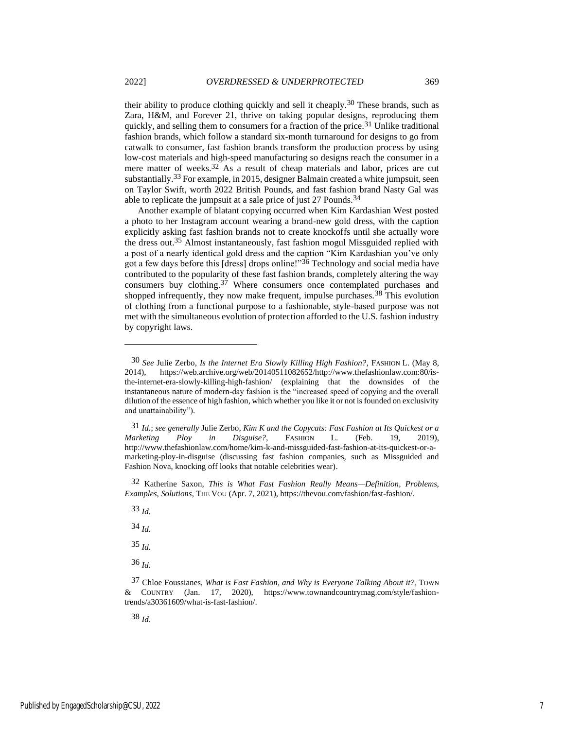<span id="page-7-0"></span>their ability to produce clothing quickly and sell it cheaply.<sup>30</sup> These brands, such as Zara, H&M, and Forever 21, thrive on taking popular designs, reproducing them quickly, and selling them to consumers for a fraction of the price.<sup>31</sup> Unlike traditional fashion brands, which follow a standard six-month turnaround for designs to go from catwalk to consumer, fast fashion brands transform the production process by using low-cost materials and high-speed manufacturing so designs reach the consumer in a mere matter of weeks.<sup>32</sup> As a result of cheap materials and labor, prices are cut substantially.33 For example, in 2015, designer Balmain created a white jumpsuit, seen on Taylor Swift, worth 2022 British Pounds, and fast fashion brand Nasty Gal was able to replicate the jumpsuit at a sale price of just 27 Pounds.<sup>34</sup>

Another example of blatant copying occurred when Kim Kardashian West posted a photo to her Instagram account wearing a brand-new gold dress, with the caption explicitly asking fast fashion brands not to create knockoffs until she actually wore the dress out.35 Almost instantaneously, fast fashion mogul Missguided replied with a post of a nearly identical gold dress and the caption "Kim Kardashian you've only got a few days before this [dress] drops online!"36 Technology and social media have contributed to the popularity of these fast fashion brands, completely altering the way consumers buy clothing.37 Where consumers once contemplated purchases and shopped infrequently, they now make frequent, impulse purchases.<sup>38</sup> This evolution of clothing from a functional purpose to a fashionable, style-based purpose was not met with the simultaneous evolution of protection afforded to the U.S. fashion industry by copyright laws.

31 *Id.*; *see generally* Julie Zerbo, *Kim K and the Copycats: Fast Fashion at Its Quickest or a Marketing Ploy in Disguise?*, FASHION L. (Feb. 19, 2019), http://www.thefashionlaw.com/home/kim-k-and-missguided-fast-fashion-at-its-quickest-or-amarketing-ploy-in-disguise (discussing fast fashion companies, such as Missguided and Fashion Nova, knocking off looks that notable celebrities wear).

32 Katherine Saxon, *This is What Fast Fashion Really Means—Definition, Problems, Examples, Solutions*, THE VOU (Apr. 7, 2021), https://thevou.com/fashion/fast-fashion/.

- 35 *Id.*
- 36 *Id.*

38 *Id.*

<sup>30</sup> *See* Julie Zerbo, *Is the Internet Era Slowly Killing High Fashion?*, FASHION L. (May 8, 2014), https://web.archive.org/web/20140511082652/http://www.thefashionlaw.com:80/isthe-internet-era-slowly-killing-high-fashion/ (explaining that the downsides of the instantaneous nature of modern-day fashion is the "increased speed of copying and the overall dilution of the essence of high fashion, which whether you like it or not is founded on exclusivity and unattainability").

<sup>33</sup> *Id.*

<sup>34</sup> *Id.*

<sup>37</sup> Chloe Foussianes, *What is Fast Fashion, and Why is Everyone Talking About it?*, TOWN & COUNTRY (Jan. 17, 2020), https://www.townandcountrymag.com/style/fashiontrends/a30361609/what-is-fast-fashion/.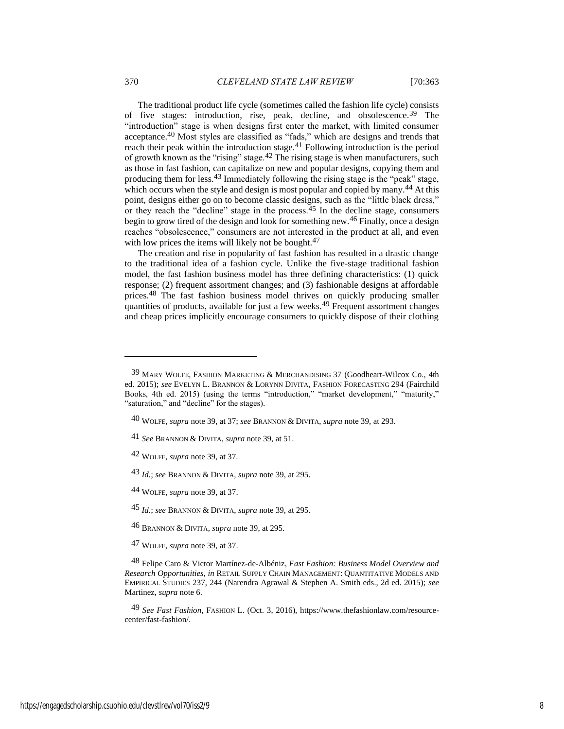<span id="page-8-0"></span>The traditional product life cycle (sometimes called the fashion life cycle) consists of five stages: introduction, rise, peak, decline, and obsolescence.39 The "introduction" stage is when designs first enter the market, with limited consumer acceptance.40 Most styles are classified as "fads," which are designs and trends that reach their peak within the introduction stage.41 Following introduction is the period of growth known as the "rising" stage.42 The rising stage is when manufacturers, such as those in fast fashion, can capitalize on new and popular designs, copying them and producing them for less.43 Immediately following the rising stage is the "peak" stage, which occurs when the style and design is most popular and copied by many.<sup>44</sup> At this point, designs either go on to become classic designs, such as the "little black dress," or they reach the "decline" stage in the process. $45$  In the decline stage, consumers begin to grow tired of the design and look for something new.46 Finally, once a design reaches "obsolescence," consumers are not interested in the product at all, and even with low prices the items will likely not be bought.<sup>47</sup>

<span id="page-8-2"></span><span id="page-8-1"></span>The creation and rise in popularity of fast fashion has resulted in a drastic change to the traditional idea of a fashion cycle. Unlike the five-stage traditional fashion model, the fast fashion business model has three defining characteristics: (1) quick response; (2) frequent assortment changes; and (3) fashionable designs at affordable prices.48 The fast fashion business model thrives on quickly producing smaller quantities of products, available for just a few weeks.49 Frequent assortment changes and cheap prices implicitly encourage consumers to quickly dispose of their clothing

43 *Id.*; *see* BRANNON & DIVITA, *supra* not[e 39,](#page-8-0) at 295.

44 WOLFE, *supra* note [39,](#page-8-0) at 37.

45 *Id.*; *see* BRANNON & DIVITA, *supra* not[e 39,](#page-8-0) at 295.

46 BRANNON & DIVITA, *supra* note [39,](#page-8-0) at 295.

<sup>39</sup> MARY WOLFE, FASHION MARKETING & MERCHANDISING 37 (Goodheart-Wilcox Co., 4th ed. 2015); *see* EVELYN L. BRANNON & LORYNN DIVITA, FASHION FORECASTING 294 (Fairchild Books, 4th ed. 2015) (using the terms "introduction," "market development," "maturity," "saturation," and "decline" for the stages).

<sup>40</sup> WOLFE, *supra* note [39,](#page-8-0) at 37; *see* BRANNON & DIVITA, *supra* not[e 39,](#page-8-0) at 293.

<sup>41</sup> *See* BRANNON & DIVITA, *supra* not[e 39,](#page-8-0) at 51.

<sup>42</sup> WOLFE, *supra* note [39,](#page-8-0) at 37.

<sup>47</sup> WOLFE, *supra* note [39,](#page-8-0) at 37.

<sup>48</sup> Felipe Caro & Victor Martínez-de-Albéniz, *Fast Fashion: Business Model Overview and Research Opportunities*, *in* RETAIL SUPPLY CHAIN MANAGEMENT: QUANTITATIVE MODELS AND EMPIRICAL STUDIES 237, 244 (Narendra Agrawal & Stephen A. Smith eds., 2d ed. 2015); *see* Martinez, *supra* note [6.](#page-3-0) 

<sup>49</sup> *See Fast Fashion*, FASHION L. (Oct. 3, 2016), https://www.thefashionlaw.com/resourcecenter/fast-fashion/.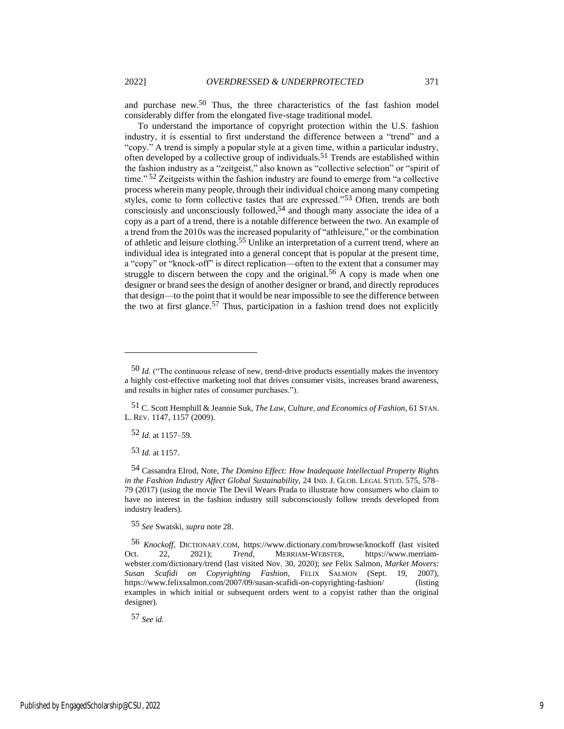and purchase new.50 Thus, the three characteristics of the fast fashion model considerably differ from the elongated five-stage traditional model.

<span id="page-9-0"></span>To understand the importance of copyright protection within the U.S. fashion industry, it is essential to first understand the difference between a "trend" and a "copy." A trend is simply a popular style at a given time, within a particular industry, often developed by a collective group of individuals.51 Trends are established within the fashion industry as a "zeitgeist," also known as "collective selection" or "spirit of time."<sup>52</sup> Zeitgeists within the fashion industry are found to emerge from "a collective process wherein many people, through their individual choice among many competing styles, come to form collective tastes that are expressed."53 Often, trends are both consciously and unconsciously followed,<sup>54</sup> and though many associate the idea of a copy as a part of a trend, there is a notable difference between the two. An example of a trend from the 2010s was the increased popularity of "athleisure," or the combination of athletic and leisure clothing.55 Unlike an interpretation of a current trend, where an individual idea is integrated into a general concept that is popular at the present time, a "copy" or "knock-off" is direct replication—often to the extent that a consumer may struggle to discern between the copy and the original.<sup>56</sup> A copy is made when one designer or brand sees the design of another designer or brand, and directly reproduces that design—to the point that it would be near impossible to see the difference between the two at first glance.<sup>57</sup> Thus, participation in a fashion trend does not explicitly

52 *Id.* at 1157–59.

53 *Id.* at 1157.

55 *See* Swatski, *supra* note 28.

56 *Knockoff*, DICTIONARY.COM, https://www.dictionary.com/browse/knockoff (last visited Oct. 22, 2021); *Trend*, MERRIAM-WEBSTER, https://www.merriamwebster.com/dictionary/trend (last visited Nov. 30, 2020); *see* Felix Salmon, *Market Movers: Susan Scafidi on Copyrighting Fashion*, FELIX SALMON (Sept. 19, 2007), https://www.felixsalmon.com/2007/09/susan-scafidi-on-copyrighting-fashion/ (listing examples in which initial or subsequent orders went to a copyist rather than the original designer).

57 *See id.*

<sup>50</sup> *Id.* ("The continuous release of new, trend-drive products essentially makes the inventory a highly cost-effective marketing tool that drives consumer visits, increases brand awareness, and results in higher rates of consumer purchases.").

<sup>51</sup> C. Scott Hemphill & Jeannie Suk, *The Law, Culture, and Economics of Fashion*, 61 STAN. L. REV. 1147, 1157 (2009).

<sup>54</sup> Cassandra Elrod, Note, *The Domino Effect: How Inadequate Intellectual Property Rights in the Fashion Industry Affect Global Sustainability*, 24 IND. J. GLOB. LEGAL STUD. 575, 578– 79 (2017) (using the movie The Devil Wears Prada to illustrate how consumers who claim to have no interest in the fashion industry still subconsciously follow trends developed from industry leaders).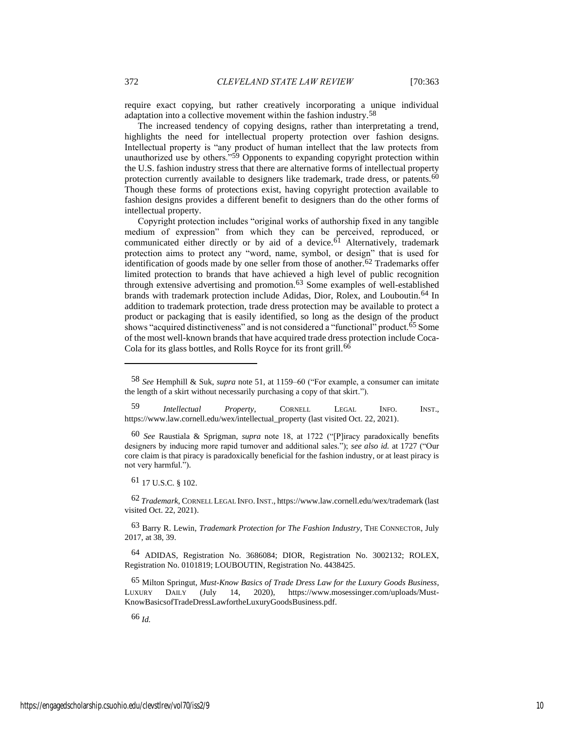require exact copying, but rather creatively incorporating a unique individual adaptation into a collective movement within the fashion industry.58

The increased tendency of copying designs, rather than interpretating a trend, highlights the need for intellectual property protection over fashion designs. Intellectual property is "any product of human intellect that the law protects from unauthorized use by others."59 Opponents to expanding copyright protection within the U.S. fashion industry stress that there are alternative forms of intellectual property protection currently available to designers like trademark, trade dress, or patents.<sup>60</sup> Though these forms of protections exist, having copyright protection available to fashion designs provides a different benefit to designers than do the other forms of intellectual property.

Copyright protection includes "original works of authorship fixed in any tangible medium of expression" from which they can be perceived, reproduced, or communicated either directly or by aid of a device. $61$  Alternatively, trademark protection aims to protect any "word, name, symbol, or design" that is used for identification of goods made by one seller from those of another.62 Trademarks offer limited protection to brands that have achieved a high level of public recognition through extensive advertising and promotion. $63$  Some examples of well-established brands with trademark protection include Adidas, Dior, Rolex, and Louboutin.64 In addition to trademark protection, trade dress protection may be available to protect a product or packaging that is easily identified, so long as the design of the product shows "acquired distinctiveness" and is not considered a "functional" product.<sup>65</sup> Some of the most well-known brands that have acquired trade dress protection include Coca-Cola for its glass bottles, and Rolls Royce for its front grill.<sup>66</sup>

61 17 U.S.C. § 102.

62 *Trademark*, CORNELL LEGAL INFO.INST., https://www.law.cornell.edu/wex/trademark (last visited Oct. 22, 2021).

63 Barry R. Lewin, *Trademark Protection for The Fashion Industry*, THE CONNECTOR, July 2017, at 38, 39.

64 ADIDAS, Registration No. 3686084; DIOR, Registration No. 3002132; ROLEX, Registration No. 0101819; LOUBOUTIN, Registration No. 4438425.

65 Milton Springut, *Must-Know Basics of Trade Dress Law for the Luxury Goods Business*, LUXURY DAILY (July 14, 2020), https://www.mosessinger.com/uploads/Must-KnowBasicsofTradeDressLawfortheLuxuryGoodsBusiness.pdf.

66 *Id.*

<sup>58</sup> *See* Hemphill & Suk, *supra* not[e 51,](#page-9-0) at 1159–60 ("For example, a consumer can imitate the length of a skirt without necessarily purchasing a copy of that skirt.").

<sup>59</sup> *Intellectual Property*, CORNELL LEGAL INFO. INST., https://www.law.cornell.edu/wex/intellectual\_property (last visited Oct. 22, 2021).

<sup>60</sup> *See* Raustiala & Sprigman, *supra* note 18, at 1722 ("[P]iracy paradoxically benefits designers by inducing more rapid turnover and additional sales."); *see also id.* at 1727 ("Our core claim is that piracy is paradoxically beneficial for the fashion industry, or at least piracy is not very harmful.").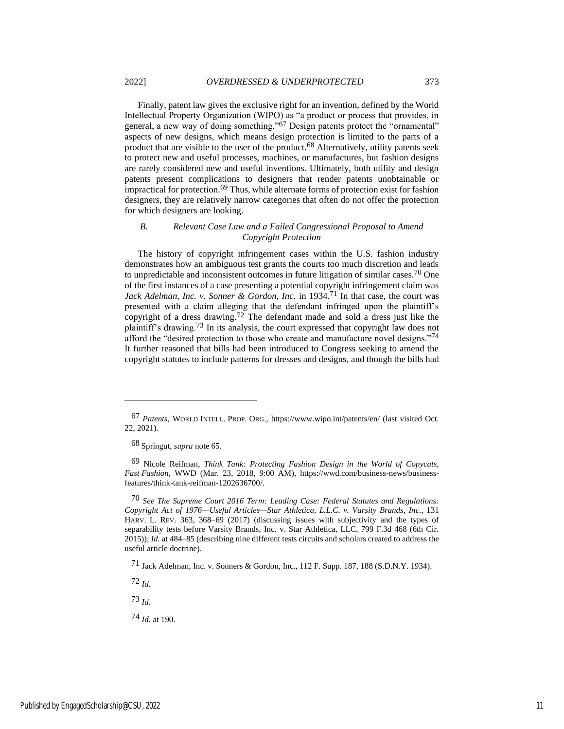Finally, patent law gives the exclusive right for an invention, defined by the World Intellectual Property Organization (WIPO) as "a product or process that provides, in general, a new way of doing something."67 Design patents protect the "ornamental" aspects of new designs, which means design protection is limited to the parts of a product that are visible to the user of the product.<sup>68</sup> Alternatively, utility patents seek to protect new and useful processes, machines, or manufactures, but fashion designs are rarely considered new and useful inventions. Ultimately, both utility and design patents present complications to designers that render patents unobtainable or impractical for protection.69 Thus, while alternate forms of protection exist for fashion designers, they are relatively narrow categories that often do not offer the protection for which designers are looking.

#### *B. Relevant Case Law and a Failed Congressional Proposal to Amend Copyright Protection*

The history of copyright infringement cases within the U.S. fashion industry demonstrates how an ambiguous test grants the courts too much discretion and leads to unpredictable and inconsistent outcomes in future litigation of similar cases.70 One of the first instances of a case presenting a potential copyright infringement claim was *Jack Adelman, Inc. v. Sonner & Gordon, Inc.* in 1934.<sup>71</sup> In that case, the court was presented with a claim alleging that the defendant infringed upon the plaintiff's copyright of a dress drawing.<sup>72</sup> The defendant made and sold a dress just like the plaintiff's drawing.73 In its analysis, the court expressed that copyright law does not afford the "desired protection to those who create and manufacture novel designs."<sup>74</sup> It further reasoned that bills had been introduced to Congress seeking to amend the copyright statutes to include patterns for dresses and designs, and though the bills had

72 *Id.*

73 *Id.*

74 *Id.* at 190.

<sup>67</sup> *Patents*, WORLD INTELL. PROP. ORG., https://www.wipo.int/patents/en/ (last visited Oct. 22, 2021).

<sup>68</sup> Springut, *supra* note 65.

<sup>69</sup> Nicole Reifman, *Think Tank: Protecting Fashion Design in the World of Copycats, Fast Fashion*, WWD (Mar. 23, 2018, 9:00 AM), https://wwd.com/business-news/businessfeatures/think-tank-reifman-1202636700/.

<sup>70</sup> *See The Supreme Court 2016 Term: Leading Case: Federal Statutes and Regulations: Copyright Act of 1976—Useful Articles—Star Athletica, L.L.C. v. Varsity Brands, Inc.*, 131 HARV. L. REV. 363, 368–69 (2017) (discussing issues with subjectivity and the types of separability tests before Varsity Brands, Inc. v. Star Athletica, LLC, 799 F.3d 468 (6th Cir. 2015)); *Id.* at 484–85 (describing nine different tests circuits and scholars created to address the useful article doctrine).

<sup>71</sup> Jack Adelman, Inc. v. Sonners & Gordon, Inc., 112 F. Supp. 187, 188 (S.D.N.Y. 1934).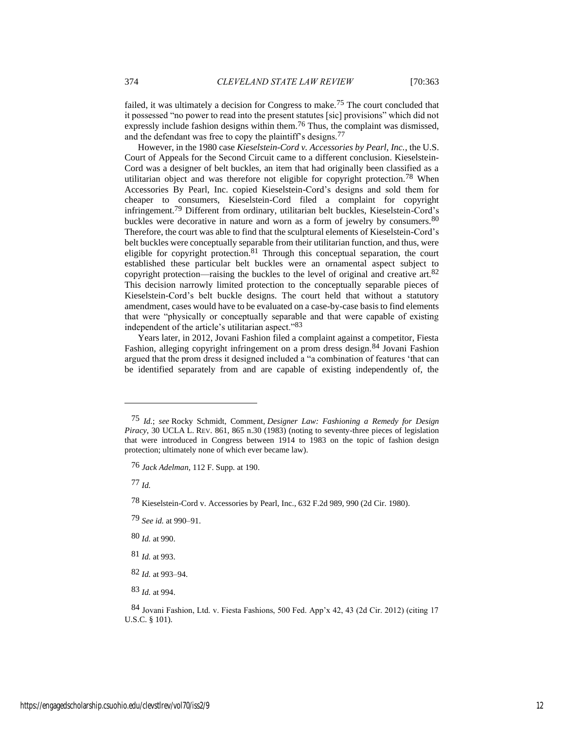failed, it was ultimately a decision for Congress to make.75 The court concluded that it possessed "no power to read into the present statutes [sic] provisions" which did not expressly include fashion designs within them.<sup>76</sup> Thus, the complaint was dismissed, and the defendant was free to copy the plaintiff's designs.<sup>77</sup>

However, in the 1980 case *Kieselstein-Cord v. Accessories by Pearl, Inc.*, the U.S. Court of Appeals for the Second Circuit came to a different conclusion. Kieselstein-Cord was a designer of belt buckles, an item that had originally been classified as a utilitarian object and was therefore not eligible for copyright protection.78 When Accessories By Pearl, Inc. copied Kieselstein-Cord's designs and sold them for cheaper to consumers, Kieselstein-Cord filed a complaint for copyright infringement.79 Different from ordinary, utilitarian belt buckles, Kieselstein-Cord's buckles were decorative in nature and worn as a form of jewelry by consumers.<sup>80</sup> Therefore, the court was able to find that the sculptural elements of Kieselstein-Cord's belt buckles were conceptually separable from their utilitarian function, and thus, were eligible for copyright protection.<sup>81</sup> Through this conceptual separation, the court established these particular belt buckles were an ornamental aspect subject to copyright protection—raising the buckles to the level of original and creative art.82 This decision narrowly limited protection to the conceptually separable pieces of Kieselstein-Cord's belt buckle designs. The court held that without a statutory amendment, cases would have to be evaluated on a case-by-case basis to find elements that were "physically or conceptually separable and that were capable of existing independent of the article's utilitarian aspect."83

Years later, in 2012, Jovani Fashion filed a complaint against a competitor, Fiesta Fashion, alleging copyright infringement on a prom dress design.<sup>84</sup> Jovani Fashion argued that the prom dress it designed included a "a combination of features 'that can be identified separately from and are capable of existing independently of, the

77 *Id.*

80 *Id.* at 990.

81 *Id.* at 993.

83 *Id.* at 994.

<sup>75</sup> *Id.*; *see* Rocky Schmidt, Comment, *Designer Law: Fashioning a Remedy for Design Piracy*, 30 UCLA L. REV. 861, 865 n.30 (1983) (noting to seventy-three pieces of legislation that were introduced in Congress between 1914 to 1983 on the topic of fashion design protection; ultimately none of which ever became law).

<sup>76</sup> *Jack Adelman*, 112 F. Supp. at 190.

<sup>78</sup> Kieselstein-Cord v. Accessories by Pearl, Inc., 632 F.2d 989, 990 (2d Cir. 1980).

<sup>79</sup> *See id.* at 990–91.

<sup>82</sup> *Id.* at 993–94.

<sup>84</sup> Jovani Fashion, Ltd. v. Fiesta Fashions, 500 Fed. App'x 42, 43 (2d Cir. 2012) (citing 17 U.S.C. § 101).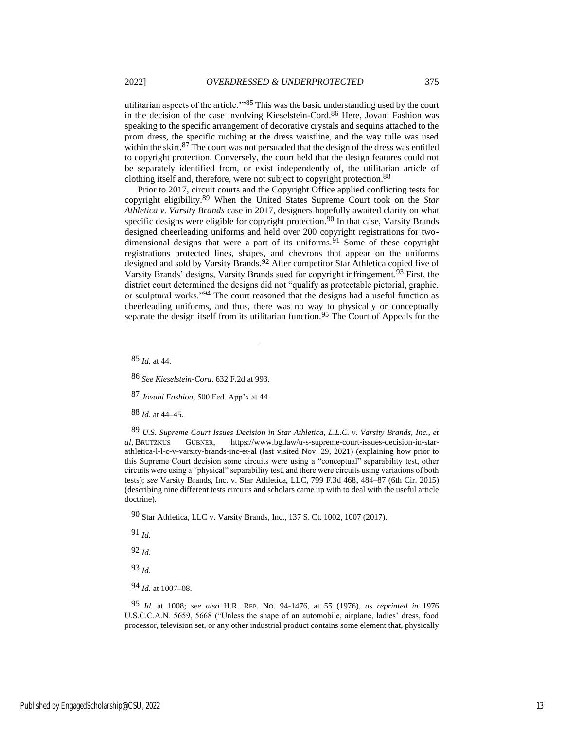utilitarian aspects of the article.'"85 This was the basic understanding used by the court in the decision of the case involving Kieselstein-Cord.86 Here, Jovani Fashion was speaking to the specific arrangement of decorative crystals and sequins attached to the prom dress, the specific ruching at the dress waistline, and the way tulle was used within the skirt.<sup>87</sup> The court was not persuaded that the design of the dress was entitled to copyright protection. Conversely, the court held that the design features could not be separately identified from, or exist independently of, the utilitarian article of clothing itself and, therefore, were not subject to copyright protection.88

Prior to 2017, circuit courts and the Copyright Office applied conflicting tests for copyright eligibility.89 When the United States Supreme Court took on the *Star Athletica v. Varsity Brands* case in 2017, designers hopefully awaited clarity on what specific designs were eligible for copyright protection.<sup>90</sup> In that case, Varsity Brands designed cheerleading uniforms and held over 200 copyright registrations for twodimensional designs that were a part of its uniforms. $91$  Some of these copyright registrations protected lines, shapes, and chevrons that appear on the uniforms designed and sold by Varsity Brands.<sup>92</sup> After competitor Star Athletica copied five of Varsity Brands' designs, Varsity Brands sued for copyright infringement.93 First, the district court determined the designs did not "qualify as protectable pictorial, graphic, or sculptural works."94 The court reasoned that the designs had a useful function as cheerleading uniforms, and thus, there was no way to physically or conceptually separate the design itself from its utilitarian function.<sup>95</sup> The Court of Appeals for the

85 *Id.* at 44.

86 *See Kieselstein-Cord*, 632 F.2d at 993.

87 *Jovani Fashion*, 500 Fed. App'x at 44.

88 *Id.* at 44–45.

89 *U.S. Supreme Court Issues Decision in Star Athletica, L.L.C. v. Varsity Brands, Inc., et al*, BRUTZKUS GUBNER, https://www.bg.law/u-s-supreme-court-issues-decision-in-starathletica-l-l-c-v-varsity-brands-inc-et-al (last visited Nov. 29, 2021) (explaining how prior to this Supreme Court decision some circuits were using a "conceptual" separability test, other circuits were using a "physical" separability test, and there were circuits using variations of both tests); *see* Varsity Brands, Inc. v. Star Athletica, LLC, 799 F.3d 468, 484–87 (6th Cir. 2015) (describing nine different tests circuits and scholars came up with to deal with the useful article doctrine).

90 Star Athletica, LLC v. Varsity Brands, Inc., 137 S. Ct. 1002, 1007 (2017).

91 *Id.*

92 *Id.*

93 *Id.*

94 *Id.* at 1007–08.

95 *Id.* at 1008; *see also* H.R. REP. NO. 94-1476, at 55 (1976), *as reprinted in* 1976 U.S.C.C.A.N. 5659, 5668 ("Unless the shape of an automobile, airplane, ladies' dress, food processor, television set, or any other industrial product contains some element that, physically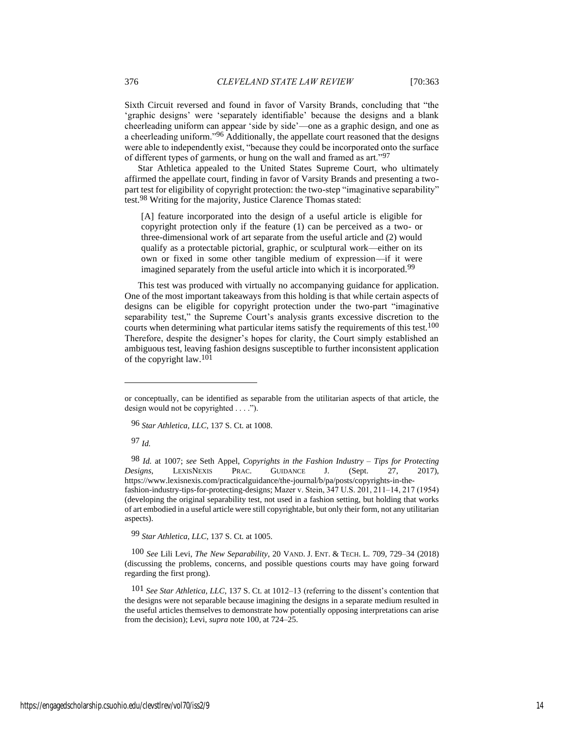Sixth Circuit reversed and found in favor of Varsity Brands, concluding that "the 'graphic designs' were 'separately identifiable' because the designs and a blank cheerleading uniform can appear 'side by side'—one as a graphic design, and one as a cheerleading uniform."96 Additionally, the appellate court reasoned that the designs were able to independently exist, "because they could be incorporated onto the surface of different types of garments, or hung on the wall and framed as art."97

Star Athletica appealed to the United States Supreme Court, who ultimately affirmed the appellate court, finding in favor of Varsity Brands and presenting a twopart test for eligibility of copyright protection: the two-step "imaginative separability" test.98 Writing for the majority, Justice Clarence Thomas stated:

[A] feature incorporated into the design of a useful article is eligible for copyright protection only if the feature (1) can be perceived as a two- or three-dimensional work of art separate from the useful article and (2) would qualify as a protectable pictorial, graphic, or sculptural work—either on its own or fixed in some other tangible medium of expression—if it were imagined separately from the useful article into which it is incorporated.<sup>99</sup>

This test was produced with virtually no accompanying guidance for application. One of the most important takeaways from this holding is that while certain aspects of designs can be eligible for copyright protection under the two-part "imaginative separability test," the Supreme Court's analysis grants excessive discretion to the courts when determining what particular items satisfy the requirements of this test.<sup>100</sup> Therefore, despite the designer's hopes for clarity, the Court simply established an ambiguous test, leaving fashion designs susceptible to further inconsistent application of the copyright law.<sup>101</sup>

96 *Star Athletica, LLC*, 137 S. Ct. at 1008.

97 *Id.*

98 *Id.* at 1007; *see* Seth Appel, *Copyrights in the Fashion Industry – Tips for Protecting Designs*, LEXISNEXIS PRAC. GUIDANCE J. (Sept. 27, 2017), https://www.lexisnexis.com/practicalguidance/the-journal/b/pa/posts/copyrights-in-thefashion-industry-tips-for-protecting-designs; Mazer v. Stein, 347 U.S. 201, 211–14, 217 (1954) (developing the original separability test, not used in a fashion setting, but holding that works of art embodied in a useful article were still copyrightable, but only their form, not any utilitarian aspects).

99 *Star Athletica, LLC*, 137 S. Ct. at 1005.

100 *See* Lili Levi, *The New Separability*, 20 VAND. J. ENT. & TECH. L. 709, 729–34 (2018) (discussing the problems, concerns, and possible questions courts may have going forward regarding the first prong).

101 *See Star Athletica, LLC*, 137 S. Ct. at 1012–13 (referring to the dissent's contention that the designs were not separable because imagining the designs in a separate medium resulted in the useful articles themselves to demonstrate how potentially opposing interpretations can arise from the decision); Levi, *supra* note 100, at 724–25.

or conceptually, can be identified as separable from the utilitarian aspects of that article, the design would not be copyrighted . . . .").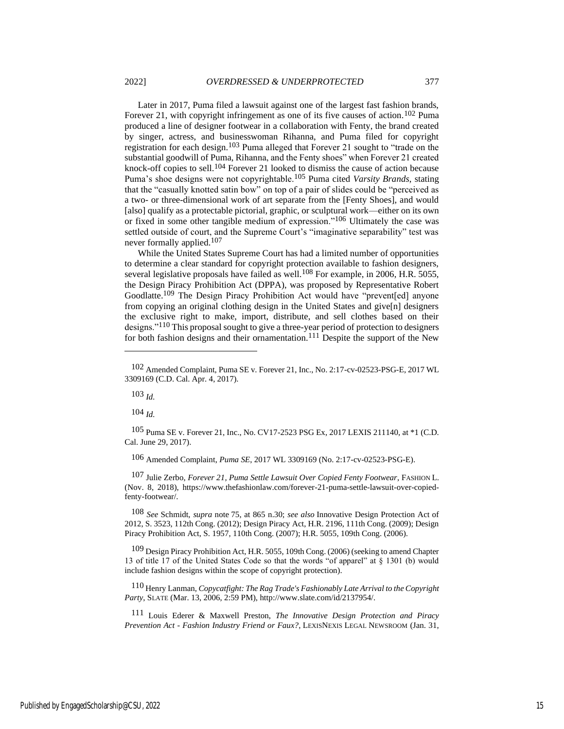Later in 2017, Puma filed a lawsuit against one of the largest fast fashion brands, Forever 21, with copyright infringement as one of its five causes of action.<sup>102</sup> Puma produced a line of designer footwear in a collaboration with Fenty, the brand created by singer, actress, and businesswoman Rihanna, and Puma filed for copyright registration for each design.103 Puma alleged that Forever 21 sought to "trade on the substantial goodwill of Puma, Rihanna, and the Fenty shoes" when Forever 21 created knock-off copies to sell.104 Forever 21 looked to dismiss the cause of action because Puma's shoe designs were not copyrightable.105 Puma cited *Varsity Brands*, stating that the "casually knotted satin bow" on top of a pair of slides could be "perceived as a two- or three-dimensional work of art separate from the [Fenty Shoes], and would [also] qualify as a protectable pictorial, graphic, or sculptural work—either on its own or fixed in some other tangible medium of expression."106 Ultimately the case was settled outside of court, and the Supreme Court's "imaginative separability" test was never formally applied.<sup>107</sup>

While the United States Supreme Court has had a limited number of opportunities to determine a clear standard for copyright protection available to fashion designers, several legislative proposals have failed as well.<sup>108</sup> For example, in 2006, H.R. 5055, the Design Piracy Prohibition Act (DPPA), was proposed by Representative Robert Goodlatte.109 The Design Piracy Prohibition Act would have "prevent[ed] anyone from copying an original clothing design in the United States and give[n] designers the exclusive right to make, import, distribute, and sell clothes based on their designs."110 This proposal sought to give a three-year period of protection to designers for both fashion designs and their ornamentation.<sup>111</sup> Despite the support of the New

103 *Id.*

104 *Id.*

105 Puma SE v. Forever 21, Inc., No. CV17-2523 PSG Ex, 2017 LEXIS 211140, at \*1 (C.D. Cal. June 29, 2017).

106 Amended Complaint, *Puma SE*, 2017 WL 3309169 (No. 2:17-cv-02523-PSG-E).

107 Julie Zerbo, *Forever 21, Puma Settle Lawsuit Over Copied Fenty Footwear*, FASHION L. (Nov. 8, 2018), https://www.thefashionlaw.com/forever-21-puma-settle-lawsuit-over-copiedfenty-footwear/.

108 *See* Schmidt, *supra* note 75, at 865 n.30; *see also* Innovative Design Protection Act of 2012, S. 3523, 112th Cong. (2012); Design Piracy Act, H.R. 2196, 111th Cong. (2009); Design Piracy Prohibition Act, S. 1957, 110th Cong. (2007); H.R. 5055, 109th Cong. (2006).

109 Design Piracy Prohibition Act, H.R. 5055, 109th Cong. (2006) (seeking to amend Chapter 13 of title 17 of the United States Code so that the words "of apparel" at § 1301 (b) would include fashion designs within the scope of copyright protection).

110 Henry Lanman, *Copycatfight: The Rag Trade's Fashionably Late Arrival to the Copyright Party*, SLATE (Mar. 13, 2006, 2:59 PM), http://www.slate.com/id/2137954/.

111 Louis Ederer & Maxwell Preston, *The Innovative Design Protection and Piracy Prevention Act - Fashion Industry Friend or Faux?*, LEXISNEXIS LEGAL NEWSROOM (Jan. 31,

<sup>102</sup> Amended Complaint, Puma SE v. Forever 21, Inc., No. 2:17-cv-02523-PSG-E, 2017 WL 3309169 (C.D. Cal. Apr. 4, 2017).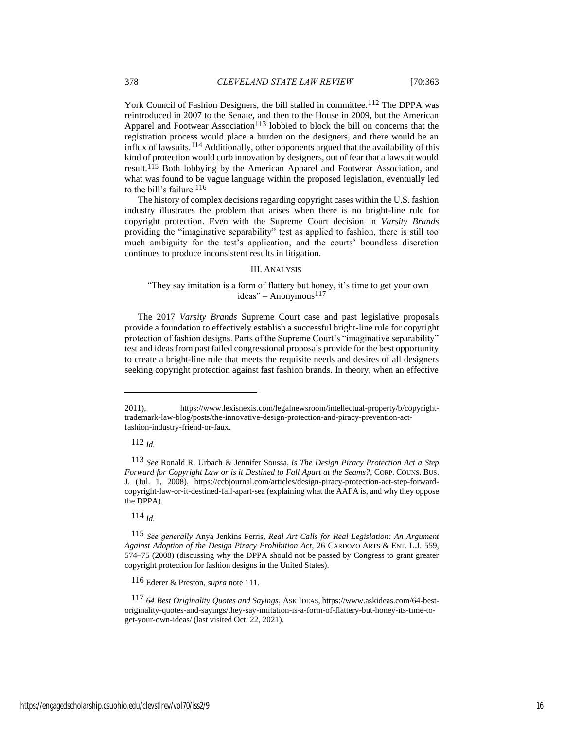York Council of Fashion Designers, the bill stalled in committee.<sup>112</sup> The DPPA was reintroduced in 2007 to the Senate, and then to the House in 2009, but the American Apparel and Footwear Association<sup>113</sup> lobbied to block the bill on concerns that the registration process would place a burden on the designers, and there would be an influx of lawsuits.114 Additionally, other opponents argued that the availability of this kind of protection would curb innovation by designers, out of fear that a lawsuit would result.115 Both lobbying by the American Apparel and Footwear Association, and what was found to be vague language within the proposed legislation, eventually led to the bill's failure.116

The history of complex decisions regarding copyright cases within the U.S. fashion industry illustrates the problem that arises when there is no bright-line rule for copyright protection. Even with the Supreme Court decision in *Varsity Brands* providing the "imaginative separability" test as applied to fashion, there is still too much ambiguity for the test's application, and the courts' boundless discretion continues to produce inconsistent results in litigation.

#### III. ANALYSIS

#### "They say imitation is a form of flattery but honey, it's time to get your own  $i$ deas" – Anonymous<sup>117</sup>

The 2017 *Varsity Brands* Supreme Court case and past legislative proposals provide a foundation to effectively establish a successful bright-line rule for copyright protection of fashion designs. Parts of the Supreme Court's "imaginative separability" test and ideas from past failed congressional proposals provide for the best opportunity to create a bright-line rule that meets the requisite needs and desires of all designers seeking copyright protection against fast fashion brands. In theory, when an effective

112 *Id.*

114 *Id.*

116 Ederer & Preston, *supra* note 111.

117 *64 Best Originality Quotes and Sayings*, ASK IDEAS, https://www.askideas.com/64-bestoriginality-quotes-and-sayings/they-say-imitation-is-a-form-of-flattery-but-honey-its-time-toget-your-own-ideas/ (last visited Oct. 22, 2021).

<sup>2011),</sup> https://www.lexisnexis.com/legalnewsroom/intellectual-property/b/copyrighttrademark-law-blog/posts/the-innovative-design-protection-and-piracy-prevention-actfashion-industry-friend-or-faux.

<sup>113</sup> *See* Ronald R. Urbach & Jennifer Soussa, *Is The Design Piracy Protection Act a Step Forward for Copyright Law or is it Destined to Fall Apart at the Seams?*, CORP. COUNS. BUS. J. (Jul. 1, 2008), https://ccbjournal.com/articles/design-piracy-protection-act-step-forwardcopyright-law-or-it-destined-fall-apart-sea (explaining what the AAFA is, and why they oppose the DPPA).

<sup>115</sup> *See generally* Anya Jenkins Ferris, *Real Art Calls for Real Legislation: An Argument Against Adoption of the Design Piracy Prohibition Act*, 26 CARDOZO ARTS & ENT. L.J. 559, 574–75 (2008) (discussing why the DPPA should not be passed by Congress to grant greater copyright protection for fashion designs in the United States).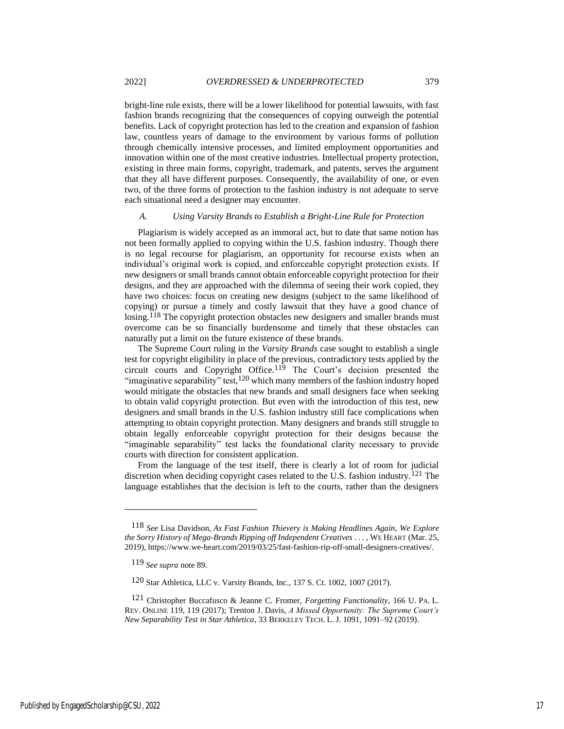bright-line rule exists, there will be a lower likelihood for potential lawsuits, with fast fashion brands recognizing that the consequences of copying outweigh the potential benefits. Lack of copyright protection has led to the creation and expansion of fashion law, countless years of damage to the environment by various forms of pollution through chemically intensive processes, and limited employment opportunities and innovation within one of the most creative industries. Intellectual property protection, existing in three main forms, copyright, trademark, and patents, serves the argument that they all have different purposes. Consequently, the availability of one, or even two, of the three forms of protection to the fashion industry is not adequate to serve each situational need a designer may encounter.

#### *A. Using Varsity Brands to Establish a Bright-Line Rule for Protection*

Plagiarism is widely accepted as an immoral act, but to date that same notion has not been formally applied to copying within the U.S. fashion industry. Though there is no legal recourse for plagiarism, an opportunity for recourse exists when an individual's original work is copied, and enforceable copyright protection exists. If new designers or small brands cannot obtain enforceable copyright protection for their designs, and they are approached with the dilemma of seeing their work copied, they have two choices: focus on creating new designs (subject to the same likelihood of copying) or pursue a timely and costly lawsuit that they have a good chance of losing.<sup>118</sup> The copyright protection obstacles new designers and smaller brands must overcome can be so financially burdensome and timely that these obstacles can naturally put a limit on the future existence of these brands.

The Supreme Court ruling in the *Varsity Brands* case sought to establish a single test for copyright eligibility in place of the previous, contradictory tests applied by the circuit courts and Copyright Office.<sup>119</sup> The Court's decision presented the "imaginative separability" test,<sup>120</sup> which many members of the fashion industry hoped would mitigate the obstacles that new brands and small designers face when seeking to obtain valid copyright protection. But even with the introduction of this test, new designers and small brands in the U.S. fashion industry still face complications when attempting to obtain copyright protection. Many designers and brands still struggle to obtain legally enforceable copyright protection for their designs because the "imaginable separability" test lacks the foundational clarity necessary to provide courts with direction for consistent application.

From the language of the test itself, there is clearly a lot of room for judicial discretion when deciding copyright cases related to the U.S. fashion industry.121 The language establishes that the decision is left to the courts, rather than the designers

<sup>118</sup> *See* Lisa Davidson, *As Fast Fashion Thievery is Making Headlines Again, We Explore the Sorry History of Mega-Brands Ripping off Independent Creatives* . . . , WE HEART (Mar. 25, 2019), https://www.we-heart.com/2019/03/25/fast-fashion-rip-off-small-designers-creatives/.

<sup>119</sup> *See supra* note 89.

<sup>120</sup> Star Athletica, LLC v. Varsity Brands, Inc., 137 S. Ct. 1002, 1007 (2017).

<sup>121</sup> Christopher Buccafusco & Jeanne C. Fromer, *Forgetting Functionality*, 166 U. PA. L. REV. ONLINE 119, 119 (2017); Trenton J. Davis, *A Missed Opportunity: The Supreme Court's New Separability Test in Star Athletica*, 33 BERKELEY TECH. L. J. 1091, 1091–92 (2019).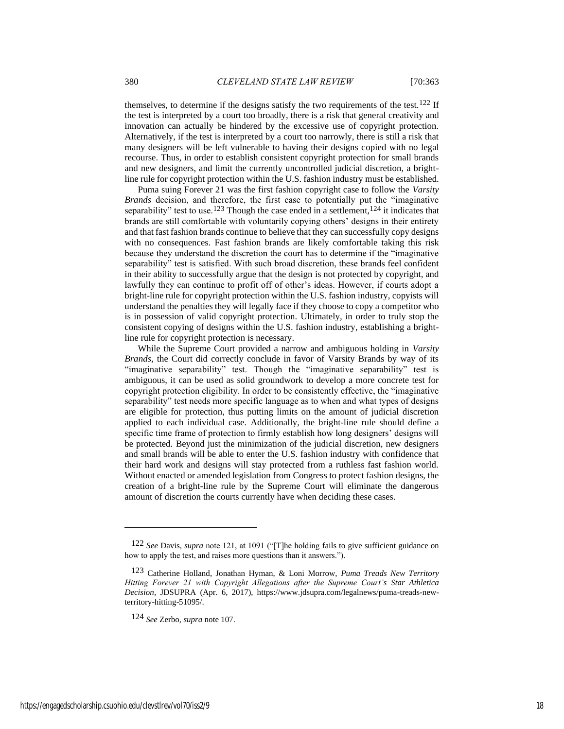themselves, to determine if the designs satisfy the two requirements of the test.<sup>122</sup> If the test is interpreted by a court too broadly, there is a risk that general creativity and innovation can actually be hindered by the excessive use of copyright protection. Alternatively, if the test is interpreted by a court too narrowly, there is still a risk that many designers will be left vulnerable to having their designs copied with no legal recourse. Thus, in order to establish consistent copyright protection for small brands and new designers, and limit the currently uncontrolled judicial discretion, a brightline rule for copyright protection within the U.S. fashion industry must be established.

Puma suing Forever 21 was the first fashion copyright case to follow the *Varsity Brands* decision, and therefore, the first case to potentially put the "imaginative separability" test to use.<sup>123</sup> Though the case ended in a settlement,<sup>124</sup> it indicates that brands are still comfortable with voluntarily copying others' designs in their entirety and that fast fashion brands continue to believe that they can successfully copy designs with no consequences. Fast fashion brands are likely comfortable taking this risk because they understand the discretion the court has to determine if the "imaginative separability" test is satisfied. With such broad discretion, these brands feel confident in their ability to successfully argue that the design is not protected by copyright, and lawfully they can continue to profit off of other's ideas. However, if courts adopt a bright-line rule for copyright protection within the U.S. fashion industry, copyists will understand the penalties they will legally face if they choose to copy a competitor who is in possession of valid copyright protection. Ultimately, in order to truly stop the consistent copying of designs within the U.S. fashion industry, establishing a brightline rule for copyright protection is necessary.

While the Supreme Court provided a narrow and ambiguous holding in *Varsity Brands*, the Court did correctly conclude in favor of Varsity Brands by way of its "imaginative separability" test. Though the "imaginative separability" test is ambiguous, it can be used as solid groundwork to develop a more concrete test for copyright protection eligibility. In order to be consistently effective, the "imaginative separability" test needs more specific language as to when and what types of designs are eligible for protection, thus putting limits on the amount of judicial discretion applied to each individual case. Additionally, the bright-line rule should define a specific time frame of protection to firmly establish how long designers' designs will be protected. Beyond just the minimization of the judicial discretion, new designers and small brands will be able to enter the U.S. fashion industry with confidence that their hard work and designs will stay protected from a ruthless fast fashion world. Without enacted or amended legislation from Congress to protect fashion designs, the creation of a bright-line rule by the Supreme Court will eliminate the dangerous amount of discretion the courts currently have when deciding these cases.

<sup>122</sup> *See* Davis, *supra* note 121, at 1091 ("[T]he holding fails to give sufficient guidance on how to apply the test, and raises more questions than it answers.").

<sup>123</sup> Catherine Holland, Jonathan Hyman, & Loni Morrow, *Puma Treads New Territory Hitting Forever 21 with Copyright Allegations after the Supreme Court's Star Athletica Decision*, JDSUPRA (Apr. 6, 2017), https://www.jdsupra.com/legalnews/puma-treads-newterritory-hitting-51095/.

<sup>124</sup> *See* Zerbo, *supra* note 107.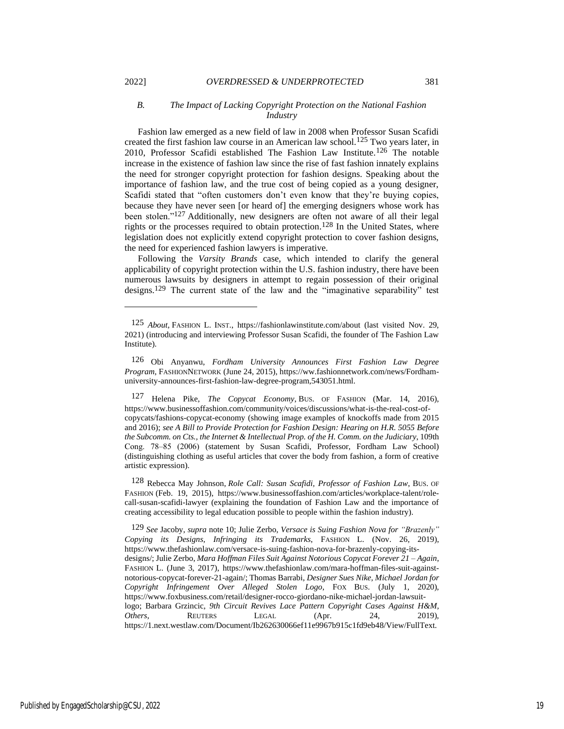#### *B. The Impact of Lacking Copyright Protection on the National Fashion Industry*

Fashion law emerged as a new field of law in 2008 when Professor Susan Scafidi created the first fashion law course in an American law school.<sup>125</sup> Two years later, in 2010, Professor Scafidi established The Fashion Law Institute.126 The notable increase in the existence of fashion law since the rise of fast fashion innately explains the need for stronger copyright protection for fashion designs. Speaking about the importance of fashion law, and the true cost of being copied as a young designer, Scafidi stated that "often customers don't even know that they're buying copies, because they have never seen [or heard of] the emerging designers whose work has been stolen."127 Additionally, new designers are often not aware of all their legal rights or the processes required to obtain protection.<sup>128</sup> In the United States, where legislation does not explicitly extend copyright protection to cover fashion designs, the need for experienced fashion lawyers is imperative.

Following the *Varsity Brands* case, which intended to clarify the general applicability of copyright protection within the U.S. fashion industry, there have been numerous lawsuits by designers in attempt to regain possession of their original designs.129 The current state of the law and the "imaginative separability" test

128 Rebecca May Johnson, *Role Call: Susan Scafidi, Professor of Fashion Law*, BUS. OF FASHION (Feb. 19, 2015), https://www.businessoffashion.com/articles/workplace-talent/rolecall-susan-scafidi-lawyer (explaining the foundation of Fashion Law and the importance of creating accessibility to legal education possible to people within the fashion industry).

129 *See* Jacoby, *supra* not[e 10;](#page-3-1) Julie Zerbo, *Versace is Suing Fashion Nova for "Brazenly" Copying its Designs, Infringing its Trademarks*, FASHION L. (Nov. 26, 2019), https://www.thefashionlaw.com/versace-is-suing-fashion-nova-for-brazenly-copying-itsdesigns/; Julie Zerbo, *Mara Hoffman Files Suit Against Notorious Copycat Forever 21 – Again*, FASHION L. (June 3, 2017), https://www.thefashionlaw.com/mara-hoffman-files-suit-againstnotorious-copycat-forever-21-again/; Thomas Barrabi, *Designer Sues Nike, Michael Jordan for Copyright Infringement Over Alleged Stolen Logo*, FOX BUS. (July 1, 2020), https://www.foxbusiness.com/retail/designer-rocco-giordano-nike-michael-jordan-lawsuitlogo; Barbara Grzincic, *9th Circuit Revives Lace Pattern Copyright Cases Against H&M, Others*, REUTERS LEGAL (Apr. 24, 2019), https://1.next.westlaw.com/Document/Ib262630066ef11e9967b915c1fd9eb48/View/FullText.

<sup>125</sup> *About*, FASHION L. INST., https://fashionlawinstitute.com/about (last visited Nov. 29, 2021) (introducing and interviewing Professor Susan Scafidi, the founder of The Fashion Law Institute).

<sup>126</sup> Obi Anyanwu, *Fordham University Announces First Fashion Law Degree Program*, FASHIONNETWORK (June 24, 2015), https://ww.fashionnetwork.com/news/Fordhamuniversity-announces-first-fashion-law-degree-program,543051.html.

<sup>127</sup> Helena Pike, *The Copycat Economy*, BUS. OF FASHION (Mar. 14, 2016), https://www.businessoffashion.com/community/voices/discussions/what-is-the-real-cost-ofcopycats/fashions-copycat-economy (showing image examples of knockoffs made from 2015 and 2016); *see A Bill to Provide Protection for Fashion Design: Hearing on H.R. 5055 Before the Subcomm. on Cts., the Internet & Intellectual Prop. of the H. Comm. on the Judiciary*, 109th Cong. 78‒85 (2006) (statement by Susan Scafidi, Professor, Fordham Law School) (distinguishing clothing as useful articles that cover the body from fashion, a form of creative artistic expression).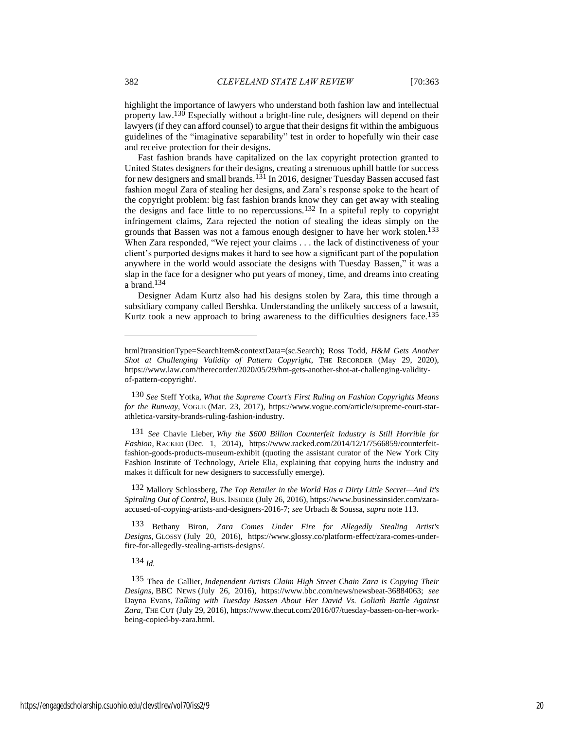highlight the importance of lawyers who understand both fashion law and intellectual property law.130 Especially without a bright-line rule, designers will depend on their lawyers (if they can afford counsel) to argue that their designs fit within the ambiguous guidelines of the "imaginative separability" test in order to hopefully win their case and receive protection for their designs.

Fast fashion brands have capitalized on the lax copyright protection granted to United States designers for their designs, creating a strenuous uphill battle for success for new designers and small brands.<sup>131</sup> In 2016, designer Tuesday Bassen accused fast fashion mogul Zara of stealing her designs, and Zara's response spoke to the heart of the copyright problem: big fast fashion brands know they can get away with stealing the designs and face little to no repercussions.132 In a spiteful reply to copyright infringement claims, Zara rejected the notion of stealing the ideas simply on the grounds that Bassen was not a famous enough designer to have her work stolen.133 When Zara responded, "We reject your claims . . . the lack of distinctiveness of your client's purported designs makes it hard to see how a significant part of the population anywhere in the world would associate the designs with Tuesday Bassen," it was a slap in the face for a designer who put years of money, time, and dreams into creating a brand.134

Designer Adam Kurtz also had his designs stolen by Zara, this time through a subsidiary company called Bershka. Understanding the unlikely success of a lawsuit, Kurtz took a new approach to bring awareness to the difficulties designers face.<sup>135</sup>

132 Mallory Schlossberg, *The Top Retailer in the World Has a Dirty Little Secret—And It's Spiraling Out of Control*, BUS. INSIDER (July 26, 2016), https://www.businessinsider.com/zaraaccused-of-copying-artists-and-designers-2016-7; *see* Urbach & Soussa, *supra* note 113.

133 Bethany Biron, *Zara Comes Under Fire for Allegedly Stealing Artist's Designs*, GLOSSY (July 20, 2016), https://www.glossy.co/platform-effect/zara-comes-underfire-for-allegedly-stealing-artists-designs/.

134 *Id.*

html?transitionType=SearchItem&contextData=(sc.Search); Ross Todd, *H&M Gets Another Shot at Challenging Validity of Pattern Copyright*, THE RECORDER (May 29, 2020), https://www.law.com/therecorder/2020/05/29/hm-gets-another-shot-at-challenging-validityof-pattern-copyright/.

<sup>130</sup> *See* Steff Yotka, *What the Supreme Court's First Ruling on Fashion Copyrights Means for the Runway*, VOGUE (Mar. 23, 2017), https://www.vogue.com/article/supreme-court-starathletica-varsity-brands-ruling-fashion-industry.

<sup>131</sup> *See* Chavie Lieber, *Why the \$600 Billion Counterfeit Industry is Still Horrible for Fashion*, RACKED (Dec. 1, 2014), https://www.racked.com/2014/12/1/7566859/counterfeitfashion-goods-products-museum-exhibit (quoting the assistant curator of the New York City Fashion Institute of Technology, Ariele Elia, explaining that copying hurts the industry and makes it difficult for new designers to successfully emerge).

<sup>135</sup> Thea de Gallier, *Independent Artists Claim High Street Chain Zara is Copying Their Designs*, BBC NEWS (July 26, 2016), https://www.bbc.com/news/newsbeat-36884063; *see* Dayna Evans, *Talking with Tuesday Bassen About Her David Vs. Goliath Battle Against Zara*, THE CUT (July 29, 2016), https://www.thecut.com/2016/07/tuesday-bassen-on-her-workbeing-copied-by-zara.html.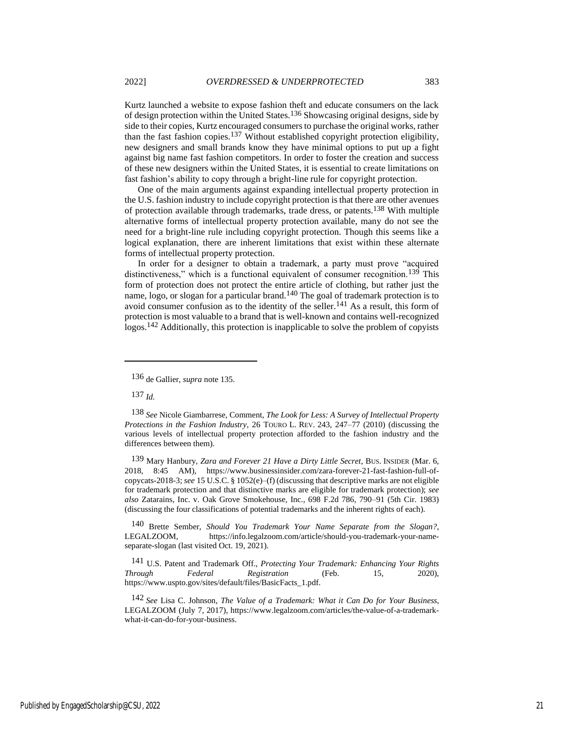Kurtz launched a website to expose fashion theft and educate consumers on the lack of design protection within the United States.136 Showcasing original designs, side by side to their copies, Kurtz encouraged consumers to purchase the original works, rather than the fast fashion copies.137 Without established copyright protection eligibility, new designers and small brands know they have minimal options to put up a fight against big name fast fashion competitors. In order to foster the creation and success of these new designers within the United States, it is essential to create limitations on fast fashion's ability to copy through a bright-line rule for copyright protection.

One of the main arguments against expanding intellectual property protection in the U.S. fashion industry to include copyright protection is that there are other avenues of protection available through trademarks, trade dress, or patents.138 With multiple alternative forms of intellectual property protection available, many do not see the need for a bright-line rule including copyright protection. Though this seems like a logical explanation, there are inherent limitations that exist within these alternate forms of intellectual property protection.

In order for a designer to obtain a trademark, a party must prove "acquired distinctiveness," which is a functional equivalent of consumer recognition.<sup>139</sup> This form of protection does not protect the entire article of clothing, but rather just the name, logo, or slogan for a particular brand.140 The goal of trademark protection is to avoid consumer confusion as to the identity of the seller.141 As a result, this form of protection is most valuable to a brand that is well-known and contains well-recognized logos.142 Additionally, this protection is inapplicable to solve the problem of copyists

137 *Id.*

140 Brette Sember, *Should You Trademark Your Name Separate from the Slogan?*, LEGALZOOM, https://info.legalzoom.com/article/should-you-trademark-your-nameseparate-slogan (last visited Oct. 19, 2021).

141 U.S. Patent and Trademark Off., *Protecting Your Trademark: Enhancing Your Rights Through Federal Registration* (Feb. 15, 2020), https://www.uspto.gov/sites/default/files/BasicFacts\_1.pdf.

142 *See* Lisa C. Johnson, *The Value of a Trademark: What it Can Do for Your Business*, LEGALZOOM (July 7, 2017), https://www.legalzoom.com/articles/the-value-of-a-trademarkwhat-it-can-do-for-your-business.

<sup>136</sup> de Gallier, *supra* note 135.

<sup>138</sup> *See* Nicole Giambarrese, Comment, *The Look for Less: A Survey of Intellectual Property Protections in the Fashion Industry*, 26 TOURO L. REV. 243, 247–77 (2010) (discussing the various levels of intellectual property protection afforded to the fashion industry and the differences between them).

<sup>139</sup> Mary Hanbury, *Zara and Forever 21 Have a Dirty Little Secret*, BUS. INSIDER (Mar. 6, 2018, 8:45 AM), https://www.businessinsider.com/zara-forever-21-fast-fashion-full-ofcopycats-2018-3; *see* 15 U.S.C. § 1052(e)–(f) (discussing that descriptive marks are not eligible for trademark protection and that distinctive marks are eligible for trademark protection); *see also* Zatarains, Inc. v. Oak Grove Smokehouse, Inc., 698 F.2d 786, 790–91 (5th Cir. 1983) (discussing the four classifications of potential trademarks and the inherent rights of each).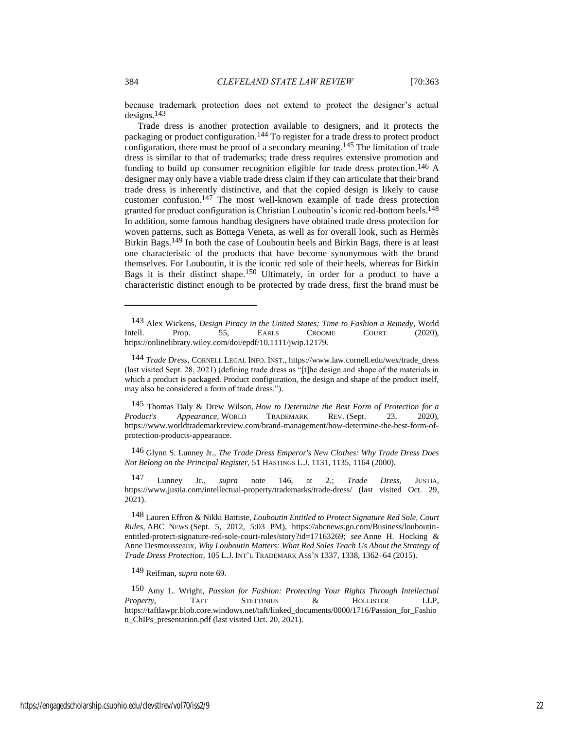because trademark protection does not extend to protect the designer's actual designs.143

Trade dress is another protection available to designers, and it protects the packaging or product configuration.144 To register for a trade dress to protect product configuration, there must be proof of a secondary meaning.<sup>145</sup> The limitation of trade dress is similar to that of trademarks; trade dress requires extensive promotion and funding to build up consumer recognition eligible for trade dress protection.<sup>146</sup> A designer may only have a viable trade dress claim if they can articulate that their brand trade dress is inherently distinctive, and that the copied design is likely to cause customer confusion.147 The most well-known example of trade dress protection granted for product configuration is Christian Louboutin's iconic red-bottom heels.<sup>148</sup> In addition, some famous handbag designers have obtained trade dress protection for woven patterns, such as Bottega Veneta, as well as for overall look, such as Hermès Birkin Bags.149 In both the case of Louboutin heels and Birkin Bags, there is at least one characteristic of the products that have become synonymous with the brand themselves. For Louboutin, it is the iconic red sole of their heels, whereas for Birkin Bags it is their distinct shape.150 Ultimately, in order for a product to have a characteristic distinct enough to be protected by trade dress, first the brand must be

146 Glynn S. Lunney Jr., *The Trade Dress Emperor's New Clothes: Why Trade Dress Does Not Belong on the Principal Register*, 51 HASTINGS L.J. 1131, 1135, 1164 (2000).

147 Lunney Jr., *supra* note 146, at 2.; *Trade Dress*, JUSTIA, https://www.justia.com/intellectual-property/trademarks/trade-dress/ (last visited Oct. 29, 2021).

148 Lauren Effron & Nikki Battiste, *Louboutin Entitled to Protect Signature Red Sole, Court Rules*, ABC NEWS (Sept. 5, 2012, 5:03 PM), https://abcnews.go.com/Business/louboutinentitled-protect-signature-red-sole-court-rules/story?id=17163269; *see* Anne H. Hocking & Anne Desmousseaux, *Why Louboutin Matters: What Red Soles Teach Us About the Strategy of Trade Dress Protection*, 105 L.J. INT'L TRADEMARK ASS'N 1337, 1338, 1362–64 (2015).

149 Reifman, *supra* note 69.

150 Amy L. Wright, *Passion for Fashion: Protecting Your Rights Through Intellectual Property*, TAFT STETTINIUS & HOLLISTER LLP, https://taftlawpr.blob.core.windows.net/taft/linked\_documents/0000/1716/Passion\_for\_Fashio n\_ChIPs\_presentation.pdf (last visited Oct. 20, 2021).

<sup>143</sup> Alex Wickens, *Design Piracy in the United States; Time to Fashion a Remedy*, World Intell. Prop. 55, EARLS CROOME COURT (2020), https://onlinelibrary.wiley.com/doi/epdf/10.1111/jwip.12179.

<sup>144</sup> *Trade Dress*, CORNELL LEGAL INFO. INST., https://www.law.cornell.edu/wex/trade\_dress (last visited Sept. 28, 2021) (defining trade dress as "[t]he design and shape of the materials in which a product is packaged. Product configuration, the design and shape of the product itself, may also be considered a form of trade dress.").

<sup>145</sup> Thomas Daly & Drew Wilson, *How to Determine the Best Form of Protection for a Product's Appearance*, WORLD TRADEMARK REV. (Sept. 23, 2020), https://www.worldtrademarkreview.com/brand-management/how-determine-the-best-form-ofprotection-products-appearance.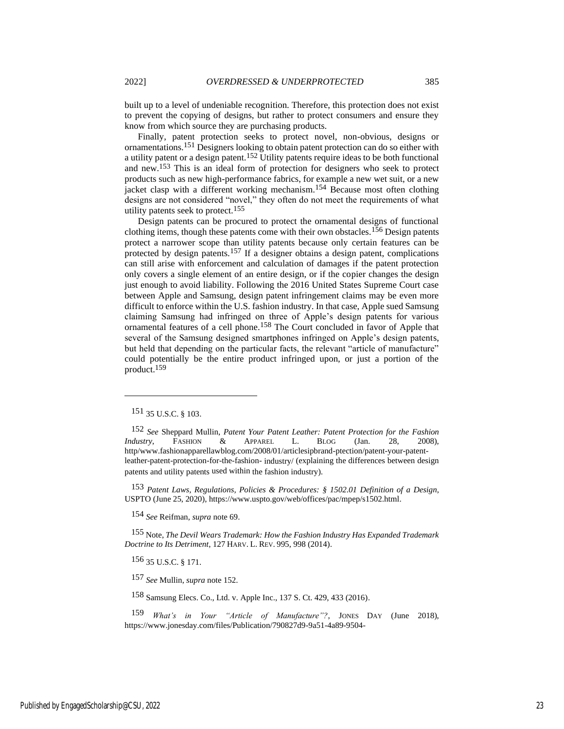built up to a level of undeniable recognition. Therefore, this protection does not exist to prevent the copying of designs, but rather to protect consumers and ensure they know from which source they are purchasing products.

Finally, patent protection seeks to protect novel, non-obvious, designs or ornamentations.151 Designers looking to obtain patent protection can do so either with a utility patent or a design patent.152 Utility patents require ideas to be both functional and new.153 This is an ideal form of protection for designers who seek to protect products such as new high-performance fabrics, for example a new wet suit, or a new jacket clasp with a different working mechanism.<sup>154</sup> Because most often clothing designs are not considered "novel," they often do not meet the requirements of what utility patents seek to protect.155

Design patents can be procured to protect the ornamental designs of functional clothing items, though these patents come with their own obstacles.<sup>156</sup> Design patents protect a narrower scope than utility patents because only certain features can be protected by design patents.157 If a designer obtains a design patent, complications can still arise with enforcement and calculation of damages if the patent protection only covers a single element of an entire design, or if the copier changes the design just enough to avoid liability. Following the 2016 United States Supreme Court case between Apple and Samsung, design patent infringement claims may be even more difficult to enforce within the U.S. fashion industry. In that case, Apple sued Samsung claiming Samsung had infringed on three of Apple's design patents for various ornamental features of a cell phone.158 The Court concluded in favor of Apple that several of the Samsung designed smartphones infringed on Apple's design patents, but held that depending on the particular facts, the relevant "article of manufacture" could potentially be the entire product infringed upon, or just a portion of the product.159

153 *Patent Laws, Regulations, Policies & Procedures: § 1502.01 Definition of a Design*, USPTO (June 25, 2020), https://www.uspto.gov/web/offices/pac/mpep/s1502.html.

154 *See* Reifman, *supra* note 69.

155 Note, *The Devil Wears Trademark: How the Fashion Industry Has Expanded Trademark Doctrine to Its Detriment*, 127 HARV. L. REV. 995, 998 (2014).

156 35 U.S.C. § 171.

157 *See* Mullin, *supra* note 152.

158 Samsung Elecs. Co., Ltd. v. Apple Inc., 137 S. Ct. 429, 433 (2016).

159 *What's in Your "Article of Manufacture"?*, JONES DAY (June 2018), https://www.jonesday.com/files/Publication/790827d9-9a51-4a89-9504-

<sup>151</sup> 35 U.S.C. § 103.

<sup>152</sup> *See* Sheppard Mullin, *Patent Your Patent Leather: Patent Protection for the Fashion Industry*, FASHION & APPAREL L. BLOG (Jan. 28, 2008), http/www.fashionapparellawblog.com/2008/01/articlesipbrand-ptection/patent-your-patentleather-patent-protection-for-the-fashion- industry/ (explaining the differences between design patents and utility patents used within the fashion industry).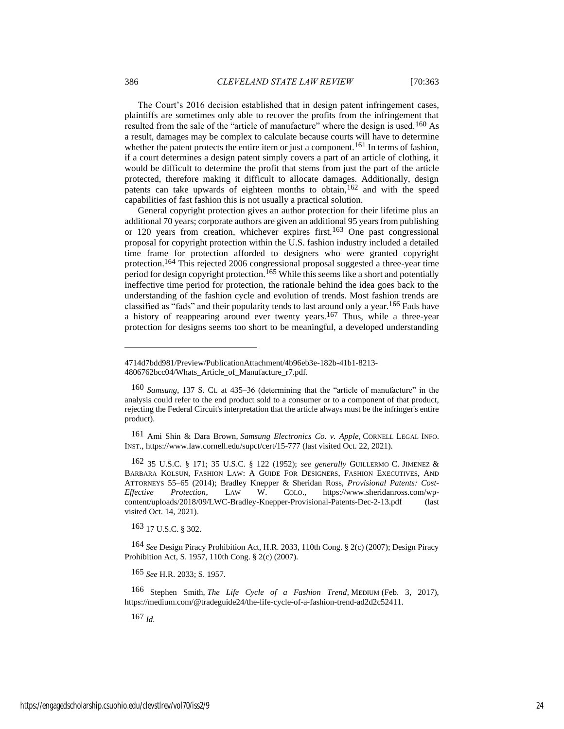The Court's 2016 decision established that in design patent infringement cases, plaintiffs are sometimes only able to recover the profits from the infringement that resulted from the sale of the "article of manufacture" where the design is used.<sup>160</sup> As a result, damages may be complex to calculate because courts will have to determine whether the patent protects the entire item or just a component.<sup>161</sup> In terms of fashion, if a court determines a design patent simply covers a part of an article of clothing, it would be difficult to determine the profit that stems from just the part of the article protected, therefore making it difficult to allocate damages. Additionally, design patents can take upwards of eighteen months to obtain,162 and with the speed capabilities of fast fashion this is not usually a practical solution.

General copyright protection gives an author protection for their lifetime plus an additional 70 years; corporate authors are given an additional 95 years from publishing or 120 years from creation, whichever expires first.163 One past congressional proposal for copyright protection within the U.S. fashion industry included a detailed time frame for protection afforded to designers who were granted copyright protection.164 This rejected 2006 congressional proposal suggested a three-year time period for design copyright protection.<sup>165</sup> While this seems like a short and potentially ineffective time period for protection, the rationale behind the idea goes back to the understanding of the fashion cycle and evolution of trends. Most fashion trends are classified as "fads" and their popularity tends to last around only a year.166 Fads have a history of reappearing around ever twenty years.167 Thus, while a three-year protection for designs seems too short to be meaningful, a developed understanding

161 Ami Shin & Dara Brown, *Samsung Electronics Co. v. Apple*, CORNELL LEGAL INFO. INST., https://www.law.cornell.edu/supct/cert/15-777 (last visited Oct. 22, 2021).

162 35 U.S.C. § 171; 35 U.S.C. § 122 (1952); *see generally* GUILLERMO C. JIMENEZ & BARBARA KOLSUN, FASHION LAW: A GUIDE FOR DESIGNERS, FASHION EXECUTIVES, AND ATTORNEYS 55–65 (2014); Bradley Knepper & Sheridan Ross, *Provisional Patents: Cost-Effective Protection*, LAW W. COLO., https://www.sheridanross.com/wpcontent/uploads/2018/09/LWC-Bradley-Knepper-Provisional-Patents-Dec-2-13.pdf (last visited Oct. 14, 2021).

163 17 U.S.C. § 302.

164 *See* Design Piracy Prohibition Act, H.R. 2033, 110th Cong. § 2(c) (2007); Design Piracy Prohibition Act, S. 1957, 110th Cong. § 2(c) (2007).

165 *See* H.R. 2033; S. 1957.

166 Stephen Smith, *The Life Cycle of a Fashion Trend*, MEDIUM (Feb. 3, 2017), https://medium.com/@tradeguide24/the-life-cycle-of-a-fashion-trend-ad2d2c52411.

167 *Id.*

<sup>4714</sup>d7bdd981/Preview/PublicationAttachment/4b96eb3e-182b-41b1-8213- 4806762bcc04/Whats Article of Manufacture r7.pdf.

<sup>160</sup> *Samsung*, 137 S. Ct. at 435–36 (determining that the "article of manufacture" in the analysis could refer to the end product sold to a consumer or to a component of that product, rejecting the Federal Circuit's interpretation that the article always must be the infringer's entire product).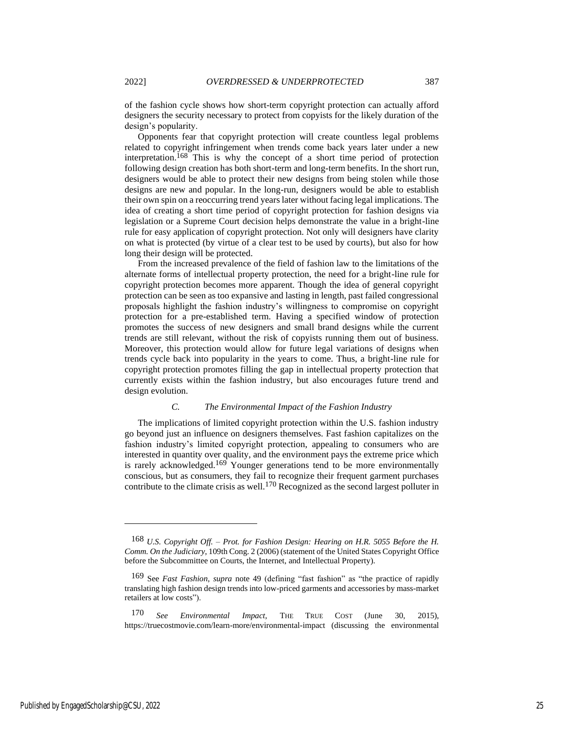of the fashion cycle shows how short-term copyright protection can actually afford designers the security necessary to protect from copyists for the likely duration of the

design's popularity. Opponents fear that copyright protection will create countless legal problems related to copyright infringement when trends come back years later under a new interpretation.168 This is why the concept of a short time period of protection following design creation has both short-term and long-term benefits. In the short run, designers would be able to protect their new designs from being stolen while those designs are new and popular. In the long-run, designers would be able to establish their own spin on a reoccurring trend years later without facing legal implications. The idea of creating a short time period of copyright protection for fashion designs via legislation or a Supreme Court decision helps demonstrate the value in a bright-line rule for easy application of copyright protection. Not only will designers have clarity on what is protected (by virtue of a clear test to be used by courts), but also for how long their design will be protected.

From the increased prevalence of the field of fashion law to the limitations of the alternate forms of intellectual property protection, the need for a bright-line rule for copyright protection becomes more apparent. Though the idea of general copyright protection can be seen as too expansive and lasting in length, past failed congressional proposals highlight the fashion industry's willingness to compromise on copyright protection for a pre-established term. Having a specified window of protection promotes the success of new designers and small brand designs while the current trends are still relevant, without the risk of copyists running them out of business. Moreover, this protection would allow for future legal variations of designs when trends cycle back into popularity in the years to come. Thus, a bright-line rule for copyright protection promotes filling the gap in intellectual property protection that currently exists within the fashion industry, but also encourages future trend and design evolution.

#### *C. The Environmental Impact of the Fashion Industry*

The implications of limited copyright protection within the U.S. fashion industry go beyond just an influence on designers themselves. Fast fashion capitalizes on the fashion industry's limited copyright protection, appealing to consumers who are interested in quantity over quality, and the environment pays the extreme price which is rarely acknowledged.<sup>169</sup> Younger generations tend to be more environmentally conscious, but as consumers, they fail to recognize their frequent garment purchases contribute to the climate crisis as well.170 Recognized as the second largest polluter in

<sup>168</sup> *U.S. Copyright Off. – Prot. for Fashion Design: Hearing on H.R. 5055 Before the H. Comm. On the Judiciary*, 109th Cong. 2 (2006) (statement of the United States Copyright Office before the Subcommittee on Courts, the Internet, and Intellectual Property).

<sup>169</sup> See *Fast Fashion*, *supra* note [49](#page-8-1) (defining "fast fashion" as "the practice of rapidly translating high fashion design trends into low-priced garments and accessories by mass-market retailers at low costs").

<sup>170</sup> *See Environmental Impact,* THE TRUE COST (June 30, 2015), https://truecostmovie.com/learn-more/environmental-impact (discussing the environmental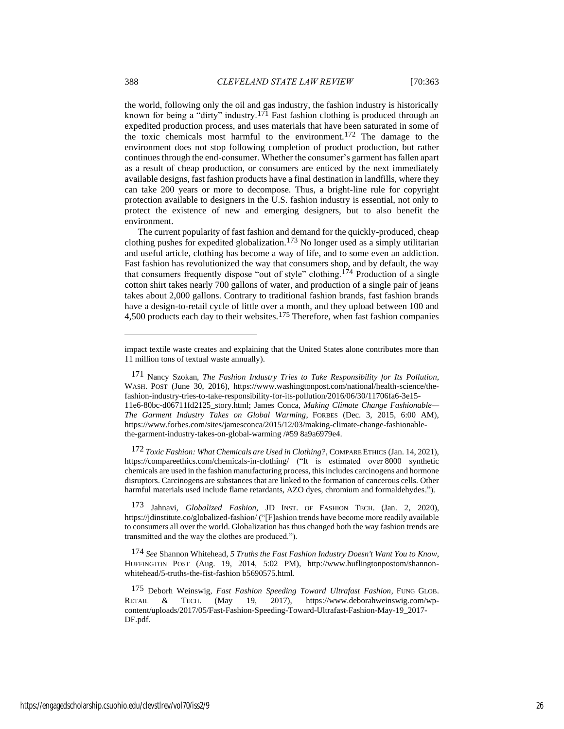the world, following only the oil and gas industry, the fashion industry is historically known for being a "dirty" industry.<sup>171</sup> Fast fashion clothing is produced through an expedited production process, and uses materials that have been saturated in some of the toxic chemicals most harmful to the environment.172 The damage to the environment does not stop following completion of product production, but rather continues through the end-consumer. Whether the consumer's garment has fallen apart as a result of cheap production, or consumers are enticed by the next immediately available designs, fast fashion products have a final destination in landfills, where they can take 200 years or more to decompose. Thus, a bright-line rule for copyright protection available to designers in the U.S. fashion industry is essential, not only to protect the existence of new and emerging designers, but to also benefit the environment.

The current popularity of fast fashion and demand for the quickly-produced, cheap clothing pushes for expedited globalization.173 No longer used as a simply utilitarian and useful article, clothing has become a way of life, and to some even an addiction. Fast fashion has revolutionized the way that consumers shop, and by default, the way that consumers frequently dispose "out of style" clothing.174 Production of a single cotton shirt takes nearly 700 gallons of water, and production of a single pair of jeans takes about 2,000 gallons. Contrary to traditional fashion brands, fast fashion brands have a design-to-retail cycle of little over a month, and they upload between 100 and 4,500 products each day to their websites.175 Therefore, when fast fashion companies

172 *Toxic Fashion: What Chemicals are Used in Clothing?*, COMPARE ETHICS (Jan. 14, 2021), https://compareethics.com/chemicals-in-clothing/ ("It is estimated over 8000 synthetic chemicals are used in the fashion manufacturing process, this includes carcinogens and hormone disruptors. Carcinogens are substances that are linked to the formation of cancerous cells. Other harmful materials used include flame retardants, AZO dyes, chromium and formaldehydes.").

173 Jahnavi, *Globalized Fashion*, JD INST. OF FASHION TECH. (Jan. 2, 2020), https://jdinstitute.co/globalized-fashion/ ("[F]ashion trends have become more readily available to consumers all over the world. Globalization has thus changed both the way fashion trends are transmitted and the way the clothes are produced.").

174 *See* Shannon Whitehead, *5 Truths the Fast Fashion Industry Doesn't Want You to Know*, HUFFINGTON POST (Aug. 19, 2014, 5:02 PM), http://www.huflingtonpostom/shannonwhitehead/5-truths-the-fist-fashion b5690575.html.

impact textile waste creates and explaining that the United States alone contributes more than 11 million tons of textual waste annually).

<sup>171</sup> Nancy Szokan, *The Fashion Industry Tries to Take Responsibility for Its Pollution*, WASH. POST (June 30, 2016), https://www.washingtonpost.com/national/health-science/thefashion-industry-tries-to-take-responsibility-for-its-pollution/2016/06/30/11706fa6-3e15- 11e6-80bc-d06711fd2125\_story.html; James Conca, *Making Climate Change Fashionable— The Garment Industry Takes on Global Warming*, FORBES (Dec. 3, 2015, 6:00 AM), https://www.forbes.com/sites/jamesconca/2015/12/03/making-climate-change-fashionablethe-garment-industry-takes-on-global-warming /#59 8a9a6979e4.

<sup>175</sup> Deborh Weinswig, *Fast Fashion Speeding Toward Ultrafast Fashion*, FUNG GLOB. RETAIL & TECH. (May 19, 2017), https://www.deborahweinswig.com/wpcontent/uploads/2017/05/Fast-Fashion-Speeding-Toward-Ultrafast-Fashion-May-19\_2017- DF.pdf.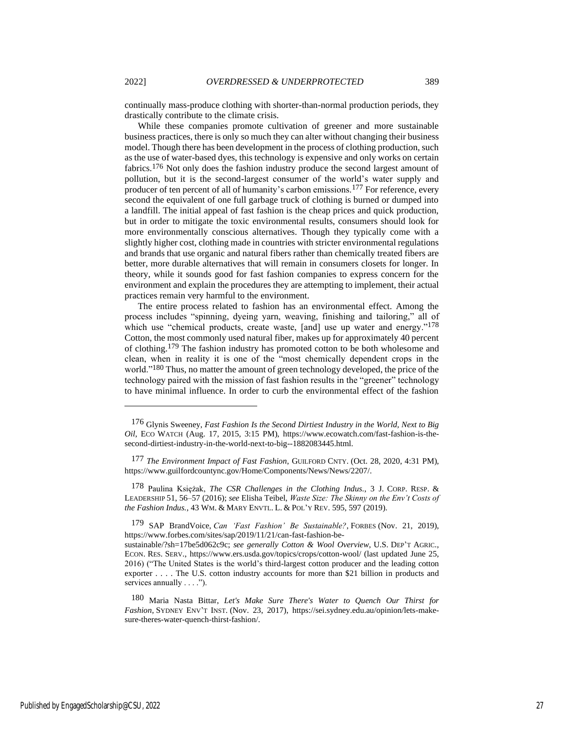continually mass-produce clothing with shorter-than-normal production periods, they drastically contribute to the climate crisis.

While these companies promote cultivation of greener and more sustainable business practices, there is only so much they can alter without changing their business model. Though there has been development in the process of clothing production, such as the use of water-based dyes, this technology is expensive and only works on certain fabrics.176 Not only does the fashion industry produce the second largest amount of pollution, but it is the second-largest consumer of the world's water supply and producer of ten percent of all of humanity's carbon emissions.177 For reference, every second the equivalent of one full garbage truck of clothing is burned or dumped into a landfill. The initial appeal of fast fashion is the cheap prices and quick production, but in order to mitigate the toxic environmental results, consumers should look for more environmentally conscious alternatives. Though they typically come with a slightly higher cost, clothing made in countries with stricter environmental regulations and brands that use organic and natural fibers rather than chemically treated fibers are better, more durable alternatives that will remain in consumers closets for longer. In theory, while it sounds good for fast fashion companies to express concern for the environment and explain the procedures they are attempting to implement, their actual practices remain very harmful to the environment.

The entire process related to fashion has an environmental effect. Among the process includes "spinning, dyeing yarn, weaving, finishing and tailoring," all of which use "chemical products, create waste, [and] use up water and energy."<sup>178</sup> Cotton, the most commonly used natural fiber, makes up for approximately 40 percent of clothing.179 The fashion industry has promoted cotton to be both wholesome and clean, when in reality it is one of the "most chemically dependent crops in the world."<sup>180</sup> Thus, no matter the amount of green technology developed, the price of the technology paired with the mission of fast fashion results in the "greener" technology to have minimal influence. In order to curb the environmental effect of the fashion

<sup>176</sup> Glynis Sweeney, *Fast Fashion Is the Second Dirtiest Industry in the World, Next to Big Oil*, ECO WATCH (Aug. 17, 2015, 3:15 PM), https://www.ecowatch.com/fast-fashion-is-thesecond-dirtiest-industry-in-the-world-next-to-big--1882083445.html.

<sup>177</sup> *The Environment Impact of Fast Fashion*, GUILFORD CNTY. (Oct. 28, 2020, 4:31 PM), https://www.guilfordcountync.gov/Home/Components/News/News/2207/.

<sup>178</sup> Paulina Księżak, *The CSR Challenges in the Clothing Indus.*, 3 J. CORP. RESP. & LEADERSHIP 51, 56–57 (2016); *see* Elisha Teibel, *Waste Size: The Skinny on the Env't Costs of the Fashion Indus.*, 43 WM. & MARY ENVTL. L. & POL'Y REV. 595, 597 (2019).

<sup>179</sup> SAP BrandVoice, *Can 'Fast Fashion' Be Sustainable?*, FORBES (Nov. 21, 2019), https://www.forbes.com/sites/sap/2019/11/21/can-fast-fashion-be-

sustainable/?sh=17be5d062c9c; *see generally Cotton & Wool Overview*, U.S. DEP'T AGRIC., ECON. RES. SERV., https://www.ers.usda.gov/topics/crops/cotton-wool/ (last updated June 25, 2016) ("The United States is the world's third-largest cotton producer and the leading cotton exporter . . . . The U.S. cotton industry accounts for more than \$21 billion in products and services annually . . . .").

<sup>180</sup> Maria Nasta Bittar, *Let's Make Sure There's Water to Quench Our Thirst for Fashion*, SYDNEY ENV'T INST. (Nov. 23, 2017), https://sei.sydney.edu.au/opinion/lets-makesure-theres-water-quench-thirst-fashion/.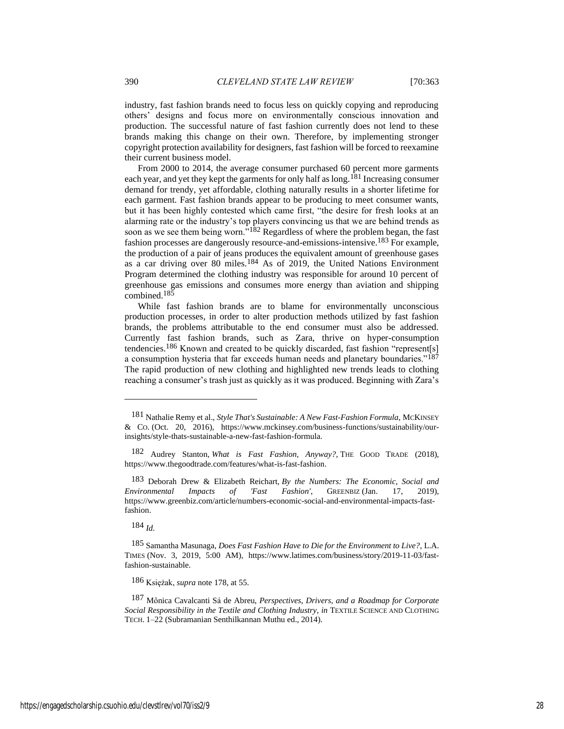industry, fast fashion brands need to focus less on quickly copying and reproducing others' designs and focus more on environmentally conscious innovation and production. The successful nature of fast fashion currently does not lend to these brands making this change on their own. Therefore, by implementing stronger copyright protection availability for designers, fast fashion will be forced to reexamine their current business model.

From 2000 to 2014, the average consumer purchased 60 percent more garments each year, and yet they kept the garments for only half as long.<sup>181</sup> Increasing consumer demand for trendy, yet affordable, clothing naturally results in a shorter lifetime for each garment. Fast fashion brands appear to be producing to meet consumer wants, but it has been highly contested which came first, "the desire for fresh looks at an alarming rate or the industry's top players convincing us that we are behind trends as soon as we see them being worn."<sup>182</sup> Regardless of where the problem began, the fast fashion processes are dangerously resource-and-emissions-intensive.183 For example, the production of a pair of jeans produces the equivalent amount of greenhouse gases as a car driving over 80 miles.184 As of 2019, the United Nations Environment Program determined the clothing industry was responsible for around 10 percent of greenhouse gas emissions and consumes more energy than aviation and shipping combined.185

While fast fashion brands are to blame for environmentally unconscious production processes, in order to alter production methods utilized by fast fashion brands, the problems attributable to the end consumer must also be addressed. Currently fast fashion brands, such as Zara, thrive on hyper-consumption tendencies.186 Known and created to be quickly discarded, fast fashion "represent[s] a consumption hysteria that far exceeds human needs and planetary boundaries."187 The rapid production of new clothing and highlighted new trends leads to clothing reaching a consumer's trash just as quickly as it was produced. Beginning with Zara's

184 *Id.*

186 Księżak, *supra* note 178, at 55.

<sup>181</sup> Nathalie Remy et al., *Style That's Sustainable: A New Fast-Fashion Formula*, MCKINSEY & CO. (Oct. 20, 2016), https://www.mckinsey.com/business-functions/sustainability/ourinsights/style-thats-sustainable-a-new-fast-fashion-formula.

<sup>182</sup> Audrey Stanton, *What is Fast Fashion, Anyway?*, THE GOOD TRADE (2018), https://www.thegoodtrade.com/features/what-is-fast-fashion.

<sup>183</sup> Deborah Drew & Elizabeth Reichart, *By the Numbers: The Economic, Social and Environmental Impacts of 'Fast Fashion'*, GREENBIZ (Jan. 17, 2019), https://www.greenbiz.com/article/numbers-economic-social-and-environmental-impacts-fastfashion.

<sup>185</sup> Samantha Masunaga, *Does Fast Fashion Have to Die for the Environment to Live?*, L.A. TIMES (Nov. 3, 2019, 5:00 AM), https://www.latimes.com/business/story/2019-11-03/fastfashion-sustainable.

<sup>187</sup> Mônica Cavalcanti Sá de Abreu, *Perspectives, Drivers, and a Roadmap for Corporate Social Responsibility in the Textile and Clothing Industry*, *in* TEXTILE SCIENCE AND CLOTHING TECH. 1–22 (Subramanian Senthilkannan Muthu ed., 2014).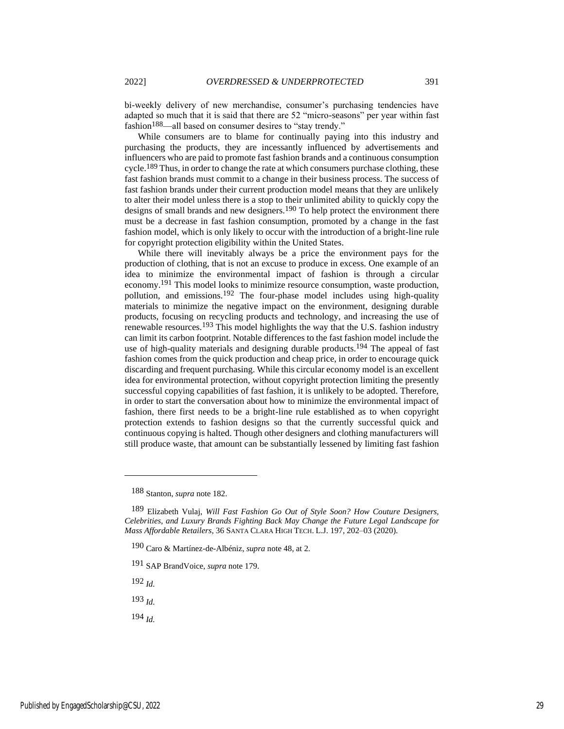bi-weekly delivery of new merchandise, consumer's purchasing tendencies have adapted so much that it is said that there are 52 "micro-seasons" per year within fast fashion<sup>188</sup>—all based on consumer desires to "stay trendy."

While consumers are to blame for continually paying into this industry and purchasing the products, they are incessantly influenced by advertisements and influencers who are paid to promote fast fashion brands and a continuous consumption cycle.<sup>189</sup> Thus, in order to change the rate at which consumers purchase clothing, these fast fashion brands must commit to a change in their business process. The success of fast fashion brands under their current production model means that they are unlikely to alter their model unless there is a stop to their unlimited ability to quickly copy the designs of small brands and new designers.<sup>190</sup> To help protect the environment there must be a decrease in fast fashion consumption, promoted by a change in the fast fashion model, which is only likely to occur with the introduction of a bright-line rule for copyright protection eligibility within the United States.

While there will inevitably always be a price the environment pays for the production of clothing, that is not an excuse to produce in excess. One example of an idea to minimize the environmental impact of fashion is through a circular economy.191 This model looks to minimize resource consumption, waste production, pollution, and emissions.192 The four-phase model includes using high-quality materials to minimize the negative impact on the environment, designing durable products, focusing on recycling products and technology, and increasing the use of renewable resources.193 This model highlights the way that the U.S. fashion industry can limit its carbon footprint. Notable differences to the fast fashion model include the use of high-quality materials and designing durable products.<sup>194</sup> The appeal of fast fashion comes from the quick production and cheap price, in order to encourage quick discarding and frequent purchasing. While this circular economy model is an excellent idea for environmental protection, without copyright protection limiting the presently successful copying capabilities of fast fashion, it is unlikely to be adopted. Therefore, in order to start the conversation about how to minimize the environmental impact of fashion, there first needs to be a bright-line rule established as to when copyright protection extends to fashion designs so that the currently successful quick and continuous copying is halted. Though other designers and clothing manufacturers will still produce waste, that amount can be substantially lessened by limiting fast fashion

191 SAP BrandVoice, *supra* note 179.

192 *Id.*

193 *Id.*

194 *Id.*

<sup>188</sup> Stanton, *supra* note 182.

<sup>189</sup> Elizabeth Vulaj, *Will Fast Fashion Go Out of Style Soon? How Couture Designers, Celebrities, and Luxury Brands Fighting Back May Change the Future Legal Landscape for Mass Affordable Retailers*, 36 SANTA CLARA HIGH TECH. L.J. 197, 202–03 (2020).

<sup>190</sup> Caro & Martínez-de-Albéniz, *supra* note [48,](#page-8-2) at 2.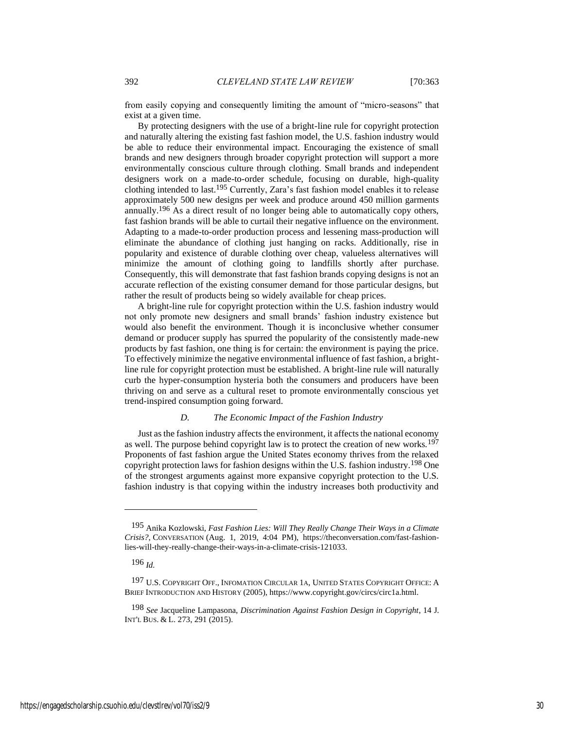from easily copying and consequently limiting the amount of "micro-seasons" that exist at a given time.

By protecting designers with the use of a bright-line rule for copyright protection and naturally altering the existing fast fashion model, the U.S. fashion industry would be able to reduce their environmental impact. Encouraging the existence of small brands and new designers through broader copyright protection will support a more environmentally conscious culture through clothing. Small brands and independent designers work on a made-to-order schedule, focusing on durable, high-quality clothing intended to last.195 Currently, Zara's fast fashion model enables it to release approximately 500 new designs per week and produce around 450 million garments annually.196 As a direct result of no longer being able to automatically copy others, fast fashion brands will be able to curtail their negative influence on the environment. Adapting to a made-to-order production process and lessening mass-production will eliminate the abundance of clothing just hanging on racks. Additionally, rise in popularity and existence of durable clothing over cheap, valueless alternatives will minimize the amount of clothing going to landfills shortly after purchase. Consequently, this will demonstrate that fast fashion brands copying designs is not an accurate reflection of the existing consumer demand for those particular designs, but rather the result of products being so widely available for cheap prices.

A bright-line rule for copyright protection within the U.S. fashion industry would not only promote new designers and small brands' fashion industry existence but would also benefit the environment. Though it is inconclusive whether consumer demand or producer supply has spurred the popularity of the consistently made-new products by fast fashion, one thing is for certain: the environment is paying the price. To effectively minimize the negative environmental influence of fast fashion, a brightline rule for copyright protection must be established. A bright-line rule will naturally curb the hyper-consumption hysteria both the consumers and producers have been thriving on and serve as a cultural reset to promote environmentally conscious yet trend-inspired consumption going forward.

#### *D. The Economic Impact of the Fashion Industry*

Just as the fashion industry affects the environment, it affects the national economy as well. The purpose behind copyright law is to protect the creation of new works.197 Proponents of fast fashion argue the United States economy thrives from the relaxed copyright protection laws for fashion designs within the U.S. fashion industry.198 One of the strongest arguments against more expansive copyright protection to the U.S. fashion industry is that copying within the industry increases both productivity and

<sup>195</sup> Anika Kozlowski, *Fast Fashion Lies: Will They Really Change Their Ways in a Climate Crisis?*, CONVERSATION (Aug. 1, 2019, 4:04 PM), https://theconversation.com/fast-fashionlies-will-they-really-change-their-ways-in-a-climate-crisis-121033.

<sup>196</sup> *Id.*

<sup>197</sup> U.S. COPYRIGHT OFF., INFOMATION CIRCULAR 1A, UNITED STATES COPYRIGHT OFFICE: A BRIEF INTRODUCTION AND HISTORY (2005), https://www.copyright.gov/circs/circ1a.html.

<sup>198</sup> *See* Jacqueline Lampasona, *Discrimination Against Fashion Design in Copyright*, 14 J. INT'L BUS. & L. 273, 291 (2015).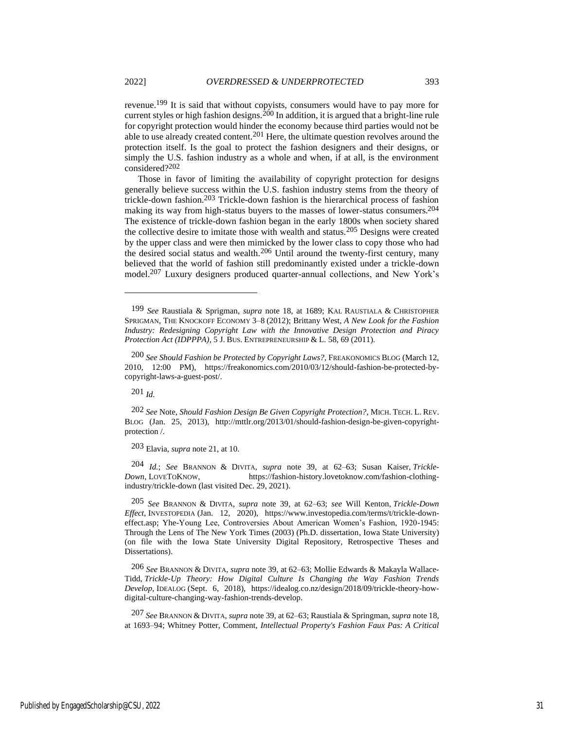revenue.199 It is said that without copyists, consumers would have to pay more for current styles or high fashion designs.<sup>200</sup> In addition, it is argued that a bright-line rule for copyright protection would hinder the economy because third parties would not be able to use already created content.201 Here, the ultimate question revolves around the protection itself. Is the goal to protect the fashion designers and their designs, or simply the U.S. fashion industry as a whole and when, if at all, is the environment

considered?202 Those in favor of limiting the availability of copyright protection for designs generally believe success within the U.S. fashion industry stems from the theory of trickle-down fashion.203 Trickle-down fashion is the hierarchical process of fashion making its way from high-status buyers to the masses of lower-status consumers.204 The existence of trickle-down fashion began in the early 1800s when society shared the collective desire to imitate those with wealth and status.205 Designs were created by the upper class and were then mimicked by the lower class to copy those who had the desired social status and wealth.206 Until around the twenty-first century, many believed that the world of fashion still predominantly existed under a trickle-down model.207 Luxury designers produced quarter-annual collections, and New York's

201 *Id.*

202 *See* Note, *Should Fashion Design Be Given Copyright Protection?*, MICH. TECH. L. REV. BLOG (Jan. 25, 2013), http://mttlr.org/2013/01/should-fashion-design-be-given-copyrightprotection /.

203 Elavia, *supra* note 21, at 10.

204 *Id.*; *See* BRANNON & DIVITA, *supra* note [39,](#page-8-0) at 62–63; Susan Kaiser, *Trickle-Down*, LOVETOKNOW, https://fashion-history.lovetoknow.com/fashion-clothingindustry/trickle-down (last visited Dec. 29, 2021).

205 *See* BRANNON & DIVITA, *supra* note [39,](#page-8-0) at 62–63; *see* Will Kenton, *Trickle-Down Effect*, INVESTOPEDIA (Jan. 12, 2020), https://www.investopedia.com/terms/t/trickle-downeffect.asp; Yhe-Young Lee, Controversies About American Women's Fashion, 1920-1945: Through the Lens of The New York Times (2003) (Ph.D. dissertation, Iowa State University) (on file with the Iowa State University Digital Repository, Retrospective Theses and Dissertations).

206 *See* BRANNON & DIVITA, *supra* note [39,](#page-8-0) at 62–63; Mollie Edwards & Makayla Wallace-Tidd, *Trickle-Up Theory: How Digital Culture Is Changing the Way Fashion Trends Develop*, IDEALOG (Sept. 6, 2018), https://idealog.co.nz/design/2018/09/trickle-theory-howdigital-culture-changing-way-fashion-trends-develop.

207 *See* BRANNON & DIVITA, *supra* not[e 39,](#page-8-0) at 62–63; Raustiala & Springman, *supra* note 18, at 1693–94; Whitney Potter, Comment, *Intellectual Property's Fashion Faux Pas: A Critical* 

<sup>199</sup> *See* Raustiala & Sprigman, *supra* note 18, at 1689; KAL RAUSTIALA & CHRISTOPHER SPRIGMAN, THE KNOCKOFF ECONOMY 3–8 (2012); Brittany West, *A New Look for the Fashion Industry: Redesigning Copyright Law with the Innovative Design Protection and Piracy Protection Act (IDPPPA)*, 5 J. BUS. ENTREPRENEURSHIP & L. 58, 69 (2011).

<sup>200</sup> *See Should Fashion be Protected by Copyright Laws?*, FREAKONOMICS BLOG (March 12, 2010, 12:00 PM), https://freakonomics.com/2010/03/12/should-fashion-be-protected-bycopyright-laws-a-guest-post/.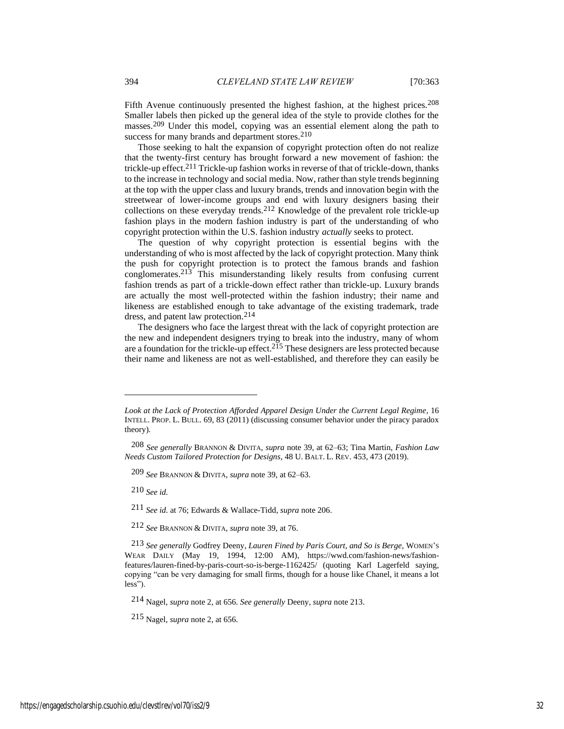Fifth Avenue continuously presented the highest fashion, at the highest prices.<sup>208</sup> Smaller labels then picked up the general idea of the style to provide clothes for the masses.209 Under this model, copying was an essential element along the path to success for many brands and department stores.<sup>210</sup>

Those seeking to halt the expansion of copyright protection often do not realize that the twenty-first century has brought forward a new movement of fashion: the trickle-up effect.<sup>211</sup> Trickle-up fashion works in reverse of that of trickle-down, thanks to the increase in technology and social media. Now, rather than style trends beginning at the top with the upper class and luxury brands, trends and innovation begin with the streetwear of lower-income groups and end with luxury designers basing their collections on these everyday trends.212 Knowledge of the prevalent role trickle-up fashion plays in the modern fashion industry is part of the understanding of who copyright protection within the U.S. fashion industry *actually* seeks to protect.

<span id="page-32-0"></span>The question of why copyright protection is essential begins with the understanding of who is most affected by the lack of copyright protection. Many think the push for copyright protection is to protect the famous brands and fashion conglomerates.213 This misunderstanding likely results from confusing current fashion trends as part of a trickle-down effect rather than trickle-up. Luxury brands are actually the most well-protected within the fashion industry; their name and likeness are established enough to take advantage of the existing trademark, trade dress, and patent law protection.214

The designers who face the largest threat with the lack of copyright protection are the new and independent designers trying to break into the industry, many of whom are a foundation for the trickle-up effect.<sup>215</sup> These designers are less protected because their name and likeness are not as well-established, and therefore they can easily be

209 *See* BRANNON & DIVITA, *supra* not[e 39,](#page-8-0) at 62–63.

210 *See id.*

211 *See id.* at 76; Edwards & Wallace-Tidd, *supra* note 206.

212 *See* BRANNON & DIVITA, *supra* not[e 39,](#page-8-0) at 76.

214 Nagel, *supra* note [2,](#page-2-0) at 656. *See generally* Deeny, *supra* note 213.

215 Nagel, *supra* note [2,](#page-2-0) at 656.

*Look at the Lack of Protection Afforded Apparel Design Under the Current Legal Regime*, 16 INTELL. PROP. L. BULL. 69, 83 (2011) (discussing consumer behavior under the piracy paradox theory).

<sup>208</sup> *See generally* BRANNON & DIVITA, *supra* not[e 39,](#page-8-0) at 62–63; Tina Martin, *Fashion Law Needs Custom Tailored Protection for Designs*, 48 U. BALT. L. REV. 453, 473 (2019).

<sup>213</sup> *See generally* Godfrey Deeny, *Lauren Fined by Paris Court, and So is Berge*, WOMEN'<sup>S</sup> WEAR DAILY (May 19, 1994, 12:00 AM), https://wwd.com/fashion-news/fashionfeatures/lauren-fined-by-paris-court-so-is-berge-1162425/ (quoting Karl Lagerfeld saying, copying "can be very damaging for small firms, though for a house like Chanel, it means a lot less").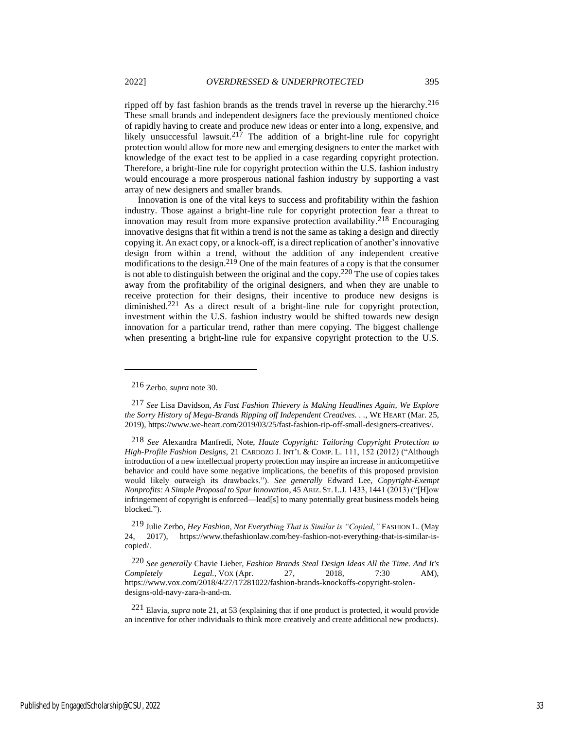ripped off by fast fashion brands as the trends travel in reverse up the hierarchy.216 These small brands and independent designers face the previously mentioned choice of rapidly having to create and produce new ideas or enter into a long, expensive, and likely unsuccessful lawsuit.<sup>217</sup> The addition of a bright-line rule for copyright protection would allow for more new and emerging designers to enter the market with knowledge of the exact test to be applied in a case regarding copyright protection. Therefore, a bright-line rule for copyright protection within the U.S. fashion industry would encourage a more prosperous national fashion industry by supporting a vast array of new designers and smaller brands.

Innovation is one of the vital keys to success and profitability within the fashion industry. Those against a bright-line rule for copyright protection fear a threat to innovation may result from more expansive protection availability.<sup>218</sup> Encouraging innovative designs that fit within a trend is not the same as taking a design and directly copying it. An exact copy, or a knock-off, is a direct replication of another's innovative design from within a trend, without the addition of any independent creative modifications to the design.219 One of the main features of a copy is that the consumer is not able to distinguish between the original and the copy.<sup>220</sup> The use of copies takes away from the profitability of the original designers, and when they are unable to receive protection for their designs, their incentive to produce new designs is diminished.221 As a direct result of a bright-line rule for copyright protection, investment within the U.S. fashion industry would be shifted towards new design innovation for a particular trend, rather than mere copying. The biggest challenge when presenting a bright-line rule for expansive copyright protection to the U.S.

<sup>216</sup> Zerbo, *supra* note [30.](#page-7-0)

<sup>217</sup> *See* Lisa Davidson, *As Fast Fashion Thievery is Making Headlines Again, We Explore the Sorry History of Mega-Brands Ripping off Independent Creatives. . .*, WE HEART (Mar. 25, 2019), https://www.we-heart.com/2019/03/25/fast-fashion-rip-off-small-designers-creatives/.

<sup>218</sup> *See* Alexandra Manfredi, Note, *Haute Copyright: Tailoring Copyright Protection to High-Profile Fashion Designs*, 21 CARDOZO J. INT'L & COMP. L. 111, 152 (2012) ("Although introduction of a new intellectual property protection may inspire an increase in anticompetitive behavior and could have some negative implications, the benefits of this proposed provision would likely outweigh its drawbacks."). *See generally* Edward Lee, *Copyright-Exempt Nonprofits: A Simple Proposal to Spur Innovation*, 45 ARIZ. ST. L.J. 1433, 1441 (2013) ("[H]ow infringement of copyright is enforced—lead[s] to many potentially great business models being blocked.").

<sup>219</sup> Julie Zerbo, *Hey Fashion, Not Everything That is Similar is "Copied*,*"* FASHION L. (May 24, 2017), https://www.thefashionlaw.com/hey-fashion-not-everything-that-is-similar-iscopied/.

<sup>220</sup> *See generally* Chavie Lieber, *Fashion Brands Steal Design Ideas All the Time. And It's Completely Legal.*, VOX (Apr. 27, 2018, 7:30 AM), https://www.vox.com/2018/4/27/17281022/fashion-brands-knockoffs-copyright-stolendesigns-old-navy-zara-h-and-m.

<sup>221</sup> Elavia, *supra* note 21, at 53 (explaining that if one product is protected, it would provide an incentive for other individuals to think more creatively and create additional new products).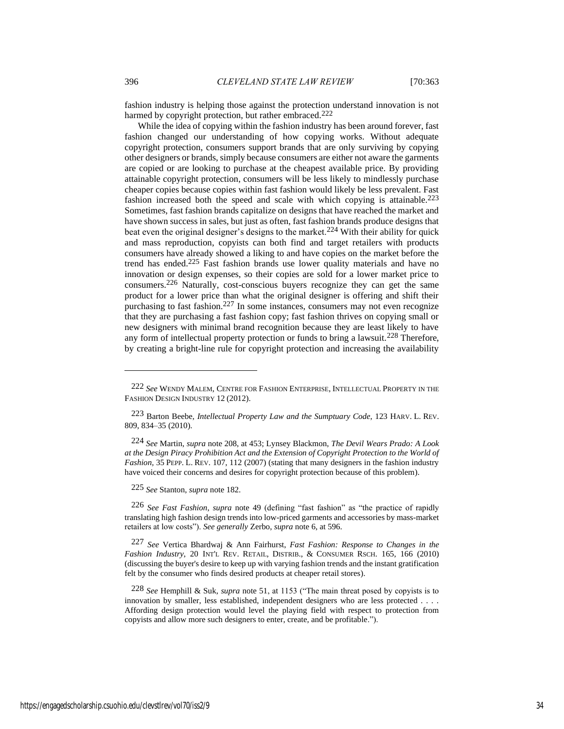fashion industry is helping those against the protection understand innovation is not harmed by copyright protection, but rather embraced.<sup>222</sup>

While the idea of copying within the fashion industry has been around forever, fast fashion changed our understanding of how copying works. Without adequate copyright protection, consumers support brands that are only surviving by copying other designers or brands, simply because consumers are either not aware the garments are copied or are looking to purchase at the cheapest available price. By providing attainable copyright protection, consumers will be less likely to mindlessly purchase cheaper copies because copies within fast fashion would likely be less prevalent. Fast fashion increased both the speed and scale with which copying is attainable.<sup>223</sup> Sometimes, fast fashion brands capitalize on designs that have reached the market and have shown success in sales, but just as often, fast fashion brands produce designs that beat even the original designer's designs to the market.<sup>224</sup> With their ability for quick and mass reproduction, copyists can both find and target retailers with products consumers have already showed a liking to and have copies on the market before the trend has ended.225 Fast fashion brands use lower quality materials and have no innovation or design expenses, so their copies are sold for a lower market price to consumers.226 Naturally, cost-conscious buyers recognize they can get the same product for a lower price than what the original designer is offering and shift their purchasing to fast fashion.227 In some instances, consumers may not even recognize that they are purchasing a fast fashion copy; fast fashion thrives on copying small or new designers with minimal brand recognition because they are least likely to have any form of intellectual property protection or funds to bring a lawsuit.<sup>228</sup> Therefore, by creating a bright-line rule for copyright protection and increasing the availability

225 *See* Stanton, *supra* note 182.

226 *See Fast Fashion*, *supra* note [49](#page-8-1) (defining "fast fashion" as "the practice of rapidly translating high fashion design trends into low-priced garments and accessories by mass-market retailers at low costs"). *See generally* Zerbo, *supra* note [6,](#page-3-0) at 596.

227 *See* Vertica Bhardwaj & Ann Fairhurst, *Fast Fashion: Response to Changes in the Fashion Industry*, 20 INT'L REV. RETAIL, DISTRIB., & CONSUMER RSCH. 165, 166 (2010) (discussing the buyer's desire to keep up with varying fashion trends and the instant gratification felt by the consumer who finds desired products at cheaper retail stores).

228 *See* Hemphill & Suk, *supra* note [51,](#page-9-0) at 1153 ("The main threat posed by copyists is to innovation by smaller, less established, independent designers who are less protected . . . . Affording design protection would level the playing field with respect to protection from copyists and allow more such designers to enter, create, and be profitable.").

<sup>222</sup> *See* WENDY MALEM, CENTRE FOR FASHION ENTERPRISE, INTELLECTUAL PROPERTY IN THE FASHION DESIGN INDUSTRY 12 (2012).

<sup>223</sup> Barton Beebe, *Intellectual Property Law and the Sumptuary Code*, 123 HARV. L. REV. 809, 834–35 (2010).

<sup>224</sup> *See* Martin, *supra* note 208, at 453; Lynsey Blackmon, *The Devil Wears Prado: A Look at the Design Piracy Prohibition Act and the Extension of Copyright Protection to the World of Fashion,* 35 PEPP. L. REV. 107, 112 (2007) (stating that many designers in the fashion industry have voiced their concerns and desires for copyright protection because of this problem).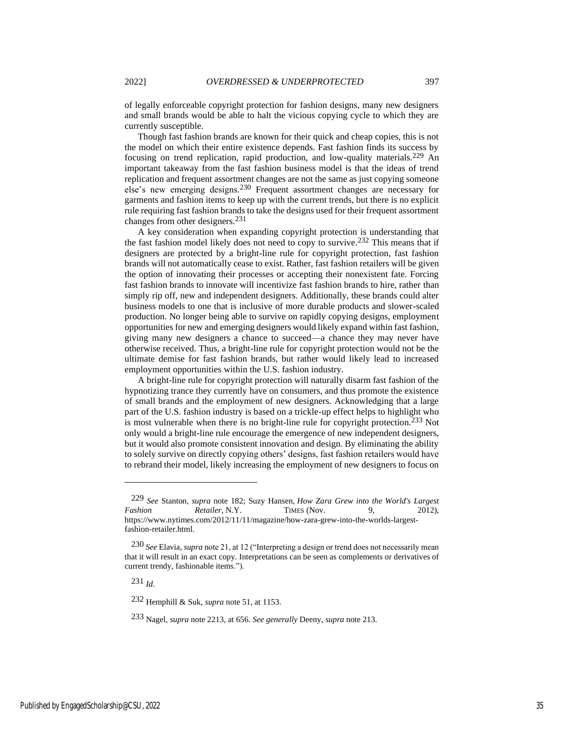of legally enforceable copyright protection for fashion designs, many new designers and small brands would be able to halt the vicious copying cycle to which they are currently susceptible.

Though fast fashion brands are known for their quick and cheap copies, this is not the model on which their entire existence depends. Fast fashion finds its success by focusing on trend replication, rapid production, and low-quality materials.229 An important takeaway from the fast fashion business model is that the ideas of trend replication and frequent assortment changes are not the same as just copying someone else's new emerging designs.230 Frequent assortment changes are necessary for garments and fashion items to keep up with the current trends, but there is no explicit rule requiring fast fashion brands to take the designs used for their frequent assortment changes from other designers.231

A key consideration when expanding copyright protection is understanding that the fast fashion model likely does not need to copy to survive.232 This means that if designers are protected by a bright-line rule for copyright protection, fast fashion brands will not automatically cease to exist. Rather, fast fashion retailers will be given the option of innovating their processes or accepting their nonexistent fate. Forcing fast fashion brands to innovate will incentivize fast fashion brands to hire, rather than simply rip off, new and independent designers. Additionally, these brands could alter business models to one that is inclusive of more durable products and slower-scaled production. No longer being able to survive on rapidly copying designs, employment opportunities for new and emerging designers would likely expand within fast fashion, giving many new designers a chance to succeed—a chance they may never have otherwise received. Thus, a bright-line rule for copyright protection would not be the ultimate demise for fast fashion brands, but rather would likely lead to increased employment opportunities within the U.S. fashion industry.

A bright-line rule for copyright protection will naturally disarm fast fashion of the hypnotizing trance they currently have on consumers, and thus promote the existence of small brands and the employment of new designers. Acknowledging that a large part of the U.S. fashion industry is based on a trickle-up effect helps to highlight who is most vulnerable when there is no bright-line rule for copyright protection.233 Not only would a bright-line rule encourage the emergence of new independent designers, but it would also promote consistent innovation and design. By eliminating the ability to solely survive on directly copying others' designs, fast fashion retailers would have to rebrand their model, likely increasing the employment of new designers to focus on

231 *Id.*

232 Hemphill & Suk, *supra* note [51,](#page-9-0) at 1153.

<sup>229</sup> *See* Stanton, *supra* note 182; Suzy Hansen, *How Zara Grew into the World's Largest*  Fashion Retailer, N.Y. TIMES (Nov. 9, 2012), https://www.nytimes.com/2012/11/11/magazine/how-zara-grew-into-the-worlds-largestfashion-retailer.html.

<sup>230</sup> *See* Elavia, *supra* note 21, at 12 ("Interpreting a design or trend does not necessarily mean that it will result in an exact copy. Interpretations can be seen as complements or derivatives of current trendy, fashionable items.").

<sup>233</sup> Nagel, *supra* note [2](#page-2-0)[213,](#page-32-0) at 656. *See generally* Deeny, *supra* note 213.